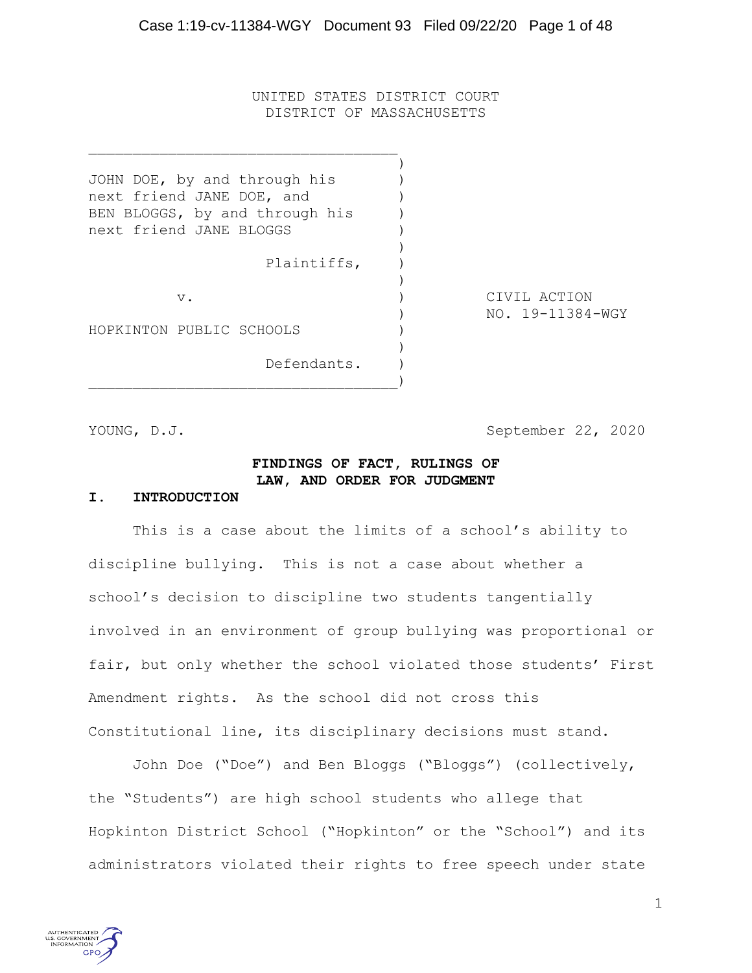UNITED STATES DISTRICT COURT DISTRICT OF MASSACHUSETTS

)

)

)

)

JOHN DOE, by and through his ) next friend JANE DOE, and BEN BLOGGS, by and through his ) next friend JANE BLOGGS )

 $)$ 

Plaintiffs, )

HOPKINTON PUBLIC SCHOOLS

Defendants. )

v. (a) CIVIL ACTION ) NO. 19-11384-WGY

YOUNG, D.J. September 22, 2020

## **FINDINGS OF FACT, RULINGS OF LAW, AND ORDER FOR JUDGMENT**

#### **I. INTRODUCTION**

This is a case about the limits of a school's ability to discipline bullying. This is not a case about whether a school's decision to discipline two students tangentially involved in an environment of group bullying was proportional or fair, but only whether the school violated those students' First Amendment rights. As the school did not cross this Constitutional line, its disciplinary decisions must stand.

John Doe ("Doe") and Ben Bloggs ("Bloggs") (collectively, the "Students") are high school students who allege that Hopkinton District School ("Hopkinton" or the "School") and its administrators violated their rights to free speech under state

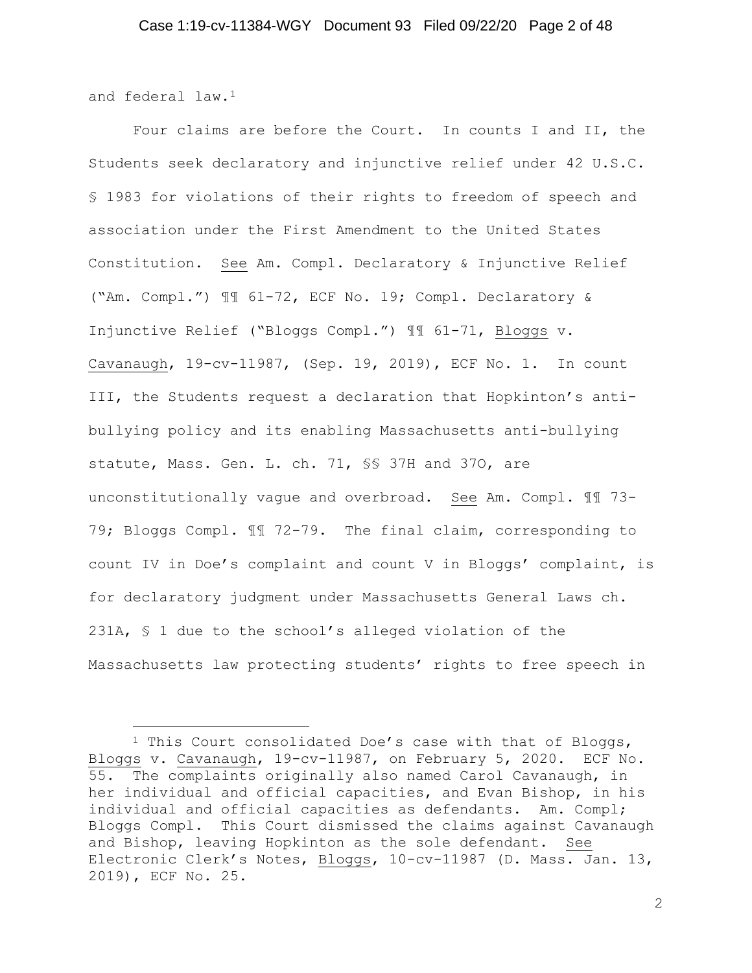and federal law.<sup>1</sup>

Four claims are before the Court. In counts I and II, the Students seek declaratory and injunctive relief under 42 U.S.C. § 1983 for violations of their rights to freedom of speech and association under the First Amendment to the United States Constitution. See Am. Compl. Declaratory & Injunctive Relief ("Am. Compl.") ¶¶ 61-72, ECF No. 19; Compl. Declaratory & Injunctive Relief ("Bloggs Compl.") ¶¶ 61-71, Bloggs v. Cavanaugh, 19-cv-11987, (Sep. 19, 2019), ECF No. 1. In count III, the Students request a declaration that Hopkinton's antibullying policy and its enabling Massachusetts anti-bullying statute, Mass. Gen. L. ch. 71, §§ 37H and 37O, are unconstitutionally vague and overbroad. See Am. Compl. ¶¶ 73- 79; Bloggs Compl. ¶¶ 72-79. The final claim, corresponding to count IV in Doe's complaint and count V in Bloggs' complaint, is for declaratory judgment under Massachusetts General Laws ch. 231A, § 1 due to the school's alleged violation of the Massachusetts law protecting students' rights to free speech in

<sup>1</sup> This Court consolidated Doe's case with that of Bloggs, Bloggs v. Cavanaugh, 19-cv-11987, on February 5, 2020. ECF No. 55. The complaints originally also named Carol Cavanaugh, in her individual and official capacities, and Evan Bishop, in his individual and official capacities as defendants. Am. Compl; Bloggs Compl. This Court dismissed the claims against Cavanaugh and Bishop, leaving Hopkinton as the sole defendant. See Electronic Clerk's Notes, Bloggs, 10-cv-11987 (D. Mass. Jan. 13, 2019), ECF No. 25.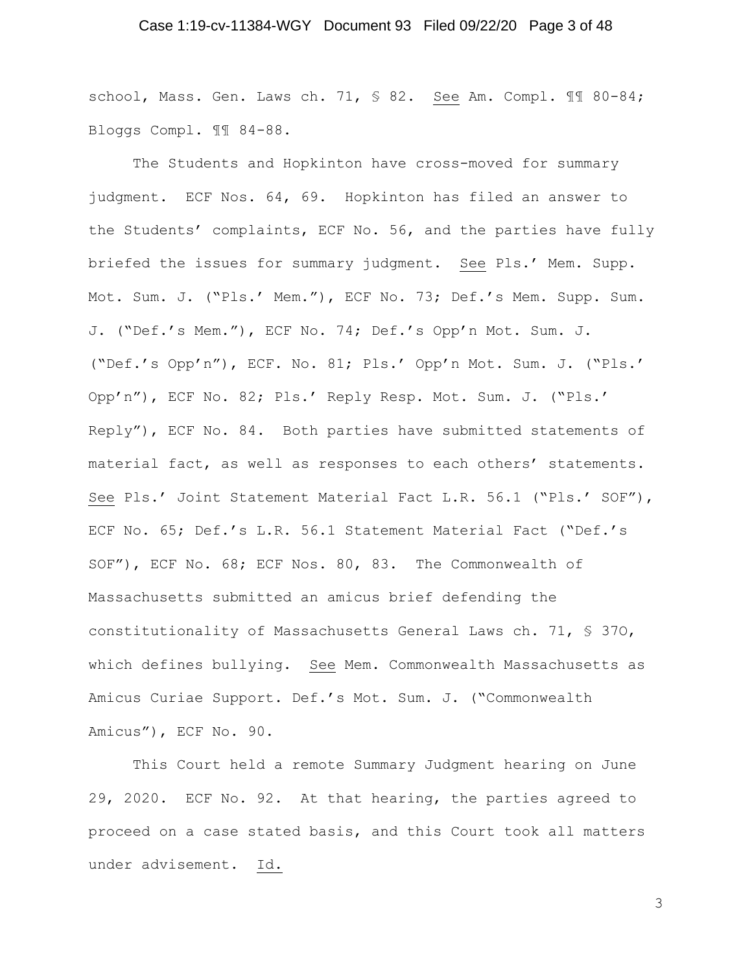## Case 1:19-cv-11384-WGY Document 93 Filed 09/22/20 Page 3 of 48

school, Mass. Gen. Laws ch. 71, § 82. See Am. Compl. 11 80-84; Bloggs Compl. ¶¶ 84-88.

The Students and Hopkinton have cross-moved for summary judgment. ECF Nos. 64, 69. Hopkinton has filed an answer to the Students' complaints, ECF No. 56, and the parties have fully briefed the issues for summary judgment. See Pls.' Mem. Supp. Mot. Sum. J. ("Pls.' Mem."), ECF No. 73; Def.'s Mem. Supp. Sum. J. ("Def.'s Mem."), ECF No. 74; Def.'s Opp'n Mot. Sum. J. ("Def.'s Opp'n"), ECF. No. 81; Pls.' Opp'n Mot. Sum. J. ("Pls.' Opp'n"), ECF No. 82; Pls.' Reply Resp. Mot. Sum. J. ("Pls.' Reply"), ECF No. 84. Both parties have submitted statements of material fact, as well as responses to each others' statements. See Pls.' Joint Statement Material Fact L.R. 56.1 ("Pls.' SOF"), ECF No. 65; Def.'s L.R. 56.1 Statement Material Fact ("Def.'s SOF"), ECF No. 68; ECF Nos. 80, 83. The Commonwealth of Massachusetts submitted an amicus brief defending the constitutionality of Massachusetts General Laws ch. 71, § 37O, which defines bullying. See Mem. Commonwealth Massachusetts as Amicus Curiae Support. Def.'s Mot. Sum. J. ("Commonwealth Amicus"), ECF No. 90.

This Court held a remote Summary Judgment hearing on June 29, 2020. ECF No. 92. At that hearing, the parties agreed to proceed on a case stated basis, and this Court took all matters under advisement. Id.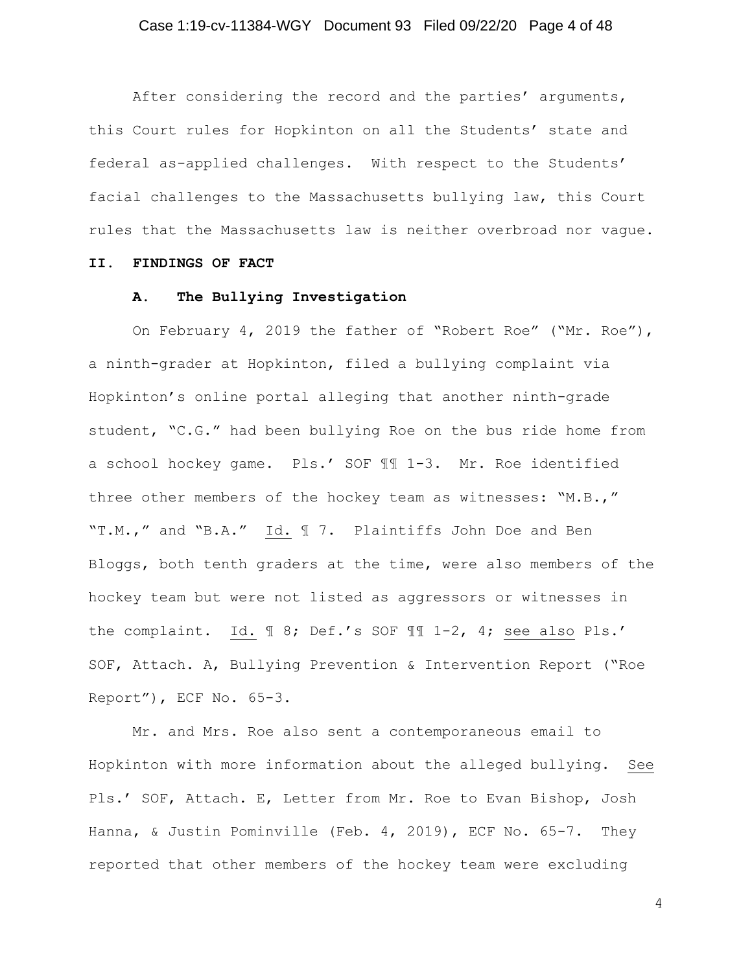## Case 1:19-cv-11384-WGY Document 93 Filed 09/22/20 Page 4 of 48

After considering the record and the parties' arguments, this Court rules for Hopkinton on all the Students' state and federal as-applied challenges. With respect to the Students' facial challenges to the Massachusetts bullying law, this Court rules that the Massachusetts law is neither overbroad nor vague.

#### **II. FINDINGS OF FACT**

## **A. The Bullying Investigation**

On February 4, 2019 the father of "Robert Roe" ("Mr. Roe"), a ninth-grader at Hopkinton, filed a bullying complaint via Hopkinton's online portal alleging that another ninth-grade student, "C.G." had been bullying Roe on the bus ride home from a school hockey game. Pls.' SOF ¶¶ 1-3. Mr. Roe identified three other members of the hockey team as witnesses: "M.B.," "T.M.," and "B.A." Id. ¶ 7. Plaintiffs John Doe and Ben Bloggs, both tenth graders at the time, were also members of the hockey team but were not listed as aggressors or witnesses in the complaint. Id. ¶ 8; Def.'s SOF ¶¶ 1-2, 4; see also Pls.' SOF, Attach. A, Bullying Prevention & Intervention Report ("Roe Report"), ECF No. 65-3.

Mr. and Mrs. Roe also sent a contemporaneous email to Hopkinton with more information about the alleged bullying. See Pls.' SOF, Attach. E, Letter from Mr. Roe to Evan Bishop, Josh Hanna, & Justin Pominville (Feb. 4, 2019), ECF No. 65-7. They reported that other members of the hockey team were excluding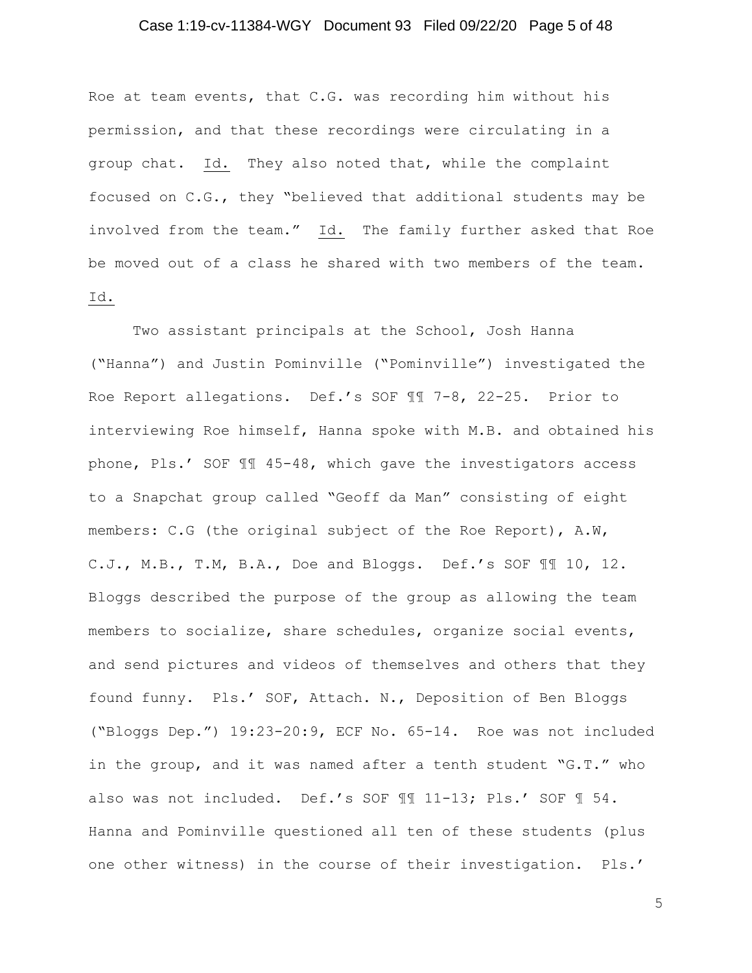## Case 1:19-cv-11384-WGY Document 93 Filed 09/22/20 Page 5 of 48

Roe at team events, that C.G. was recording him without his permission, and that these recordings were circulating in a group chat. Id. They also noted that, while the complaint focused on C.G., they "believed that additional students may be involved from the team." Id. The family further asked that Roe be moved out of a class he shared with two members of the team. Id.

Two assistant principals at the School, Josh Hanna ("Hanna") and Justin Pominville ("Pominville") investigated the Roe Report allegations. Def.'s SOF ¶¶ 7-8, 22-25. Prior to interviewing Roe himself, Hanna spoke with M.B. and obtained his phone, Pls.' SOF ¶¶ 45-48, which gave the investigators access to a Snapchat group called "Geoff da Man" consisting of eight members: C.G (the original subject of the Roe Report), A.W, C.J., M.B., T.M, B.A., Doe and Bloggs. Def.'s SOF ¶¶ 10, 12. Bloggs described the purpose of the group as allowing the team members to socialize, share schedules, organize social events, and send pictures and videos of themselves and others that they found funny. Pls.' SOF, Attach. N., Deposition of Ben Bloggs ("Bloggs Dep.") 19:23-20:9, ECF No. 65-14. Roe was not included in the group, and it was named after a tenth student "G.T." who also was not included. Def.'s SOF ¶¶ 11-13; Pls.' SOF ¶ 54. Hanna and Pominville questioned all ten of these students (plus one other witness) in the course of their investigation. Pls.'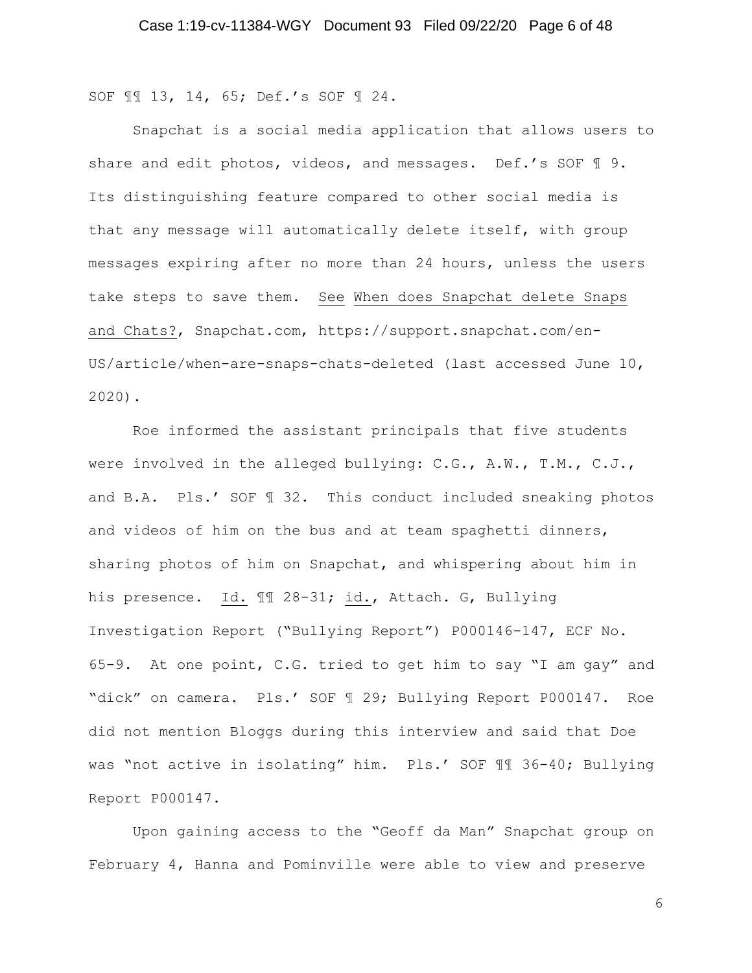SOF ¶¶ 13, 14, 65; Def.'s SOF ¶ 24.

Snapchat is a social media application that allows users to share and edit photos, videos, and messages. Def.'s SOF 19. Its distinguishing feature compared to other social media is that any message will automatically delete itself, with group messages expiring after no more than 24 hours, unless the users take steps to save them. See When does Snapchat delete Snaps and Chats?, Snapchat.com, https://support.snapchat.com/en-US/article/when-are-snaps-chats-deleted (last accessed June 10, 2020).

Roe informed the assistant principals that five students were involved in the alleged bullying: C.G., A.W., T.M., C.J., and B.A. Pls.' SOF ¶ 32. This conduct included sneaking photos and videos of him on the bus and at team spaghetti dinners, sharing photos of him on Snapchat, and whispering about him in his presence. Id. ¶¶ 28-31; id., Attach. G, Bullying Investigation Report ("Bullying Report") P000146-147, ECF No. 65-9. At one point, C.G. tried to get him to say "I am gay" and "dick" on camera. Pls.' SOF ¶ 29; Bullying Report P000147. Roe did not mention Bloggs during this interview and said that Doe was "not active in isolating" him. Pls.' SOF ¶¶ 36-40; Bullying Report P000147.

Upon gaining access to the "Geoff da Man" Snapchat group on February 4, Hanna and Pominville were able to view and preserve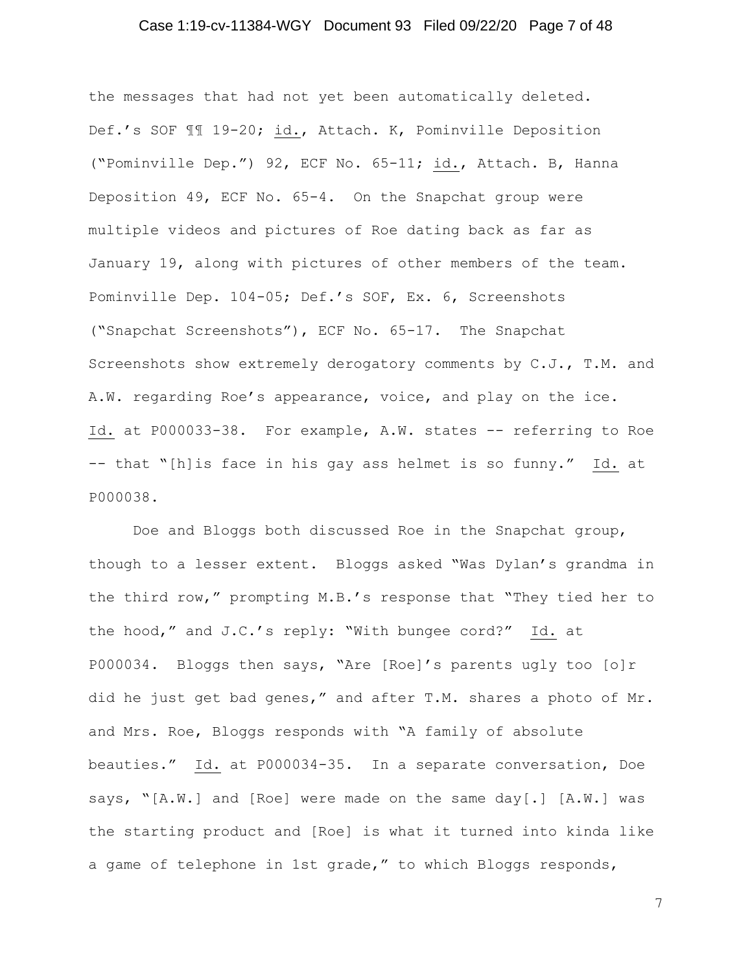## Case 1:19-cv-11384-WGY Document 93 Filed 09/22/20 Page 7 of 48

the messages that had not yet been automatically deleted. Def.'s SOF ¶¶ 19-20; id., Attach. K, Pominville Deposition ("Pominville Dep.") 92, ECF No. 65-11; id., Attach. B, Hanna Deposition 49, ECF No. 65-4. On the Snapchat group were multiple videos and pictures of Roe dating back as far as January 19, along with pictures of other members of the team. Pominville Dep. 104-05; Def.'s SOF, Ex. 6, Screenshots ("Snapchat Screenshots"), ECF No. 65-17. The Snapchat Screenshots show extremely derogatory comments by C.J., T.M. and A.W. regarding Roe's appearance, voice, and play on the ice. Id. at P000033-38. For example, A.W. states -- referring to Roe -- that "[h]is face in his gay ass helmet is so funny." Id. at P000038.

Doe and Bloggs both discussed Roe in the Snapchat group, though to a lesser extent. Bloggs asked "Was Dylan's grandma in the third row," prompting M.B.'s response that "They tied her to the hood," and J.C.'s reply: "With bungee cord?" Id. at P000034. Bloggs then says, "Are [Roe]'s parents ugly too [o]r did he just get bad genes," and after T.M. shares a photo of Mr. and Mrs. Roe, Bloggs responds with "A family of absolute beauties." Id. at P000034-35. In a separate conversation, Doe says, "[A.W.] and [Roe] were made on the same day[.] [A.W.] was the starting product and [Roe] is what it turned into kinda like a game of telephone in 1st grade," to which Bloggs responds,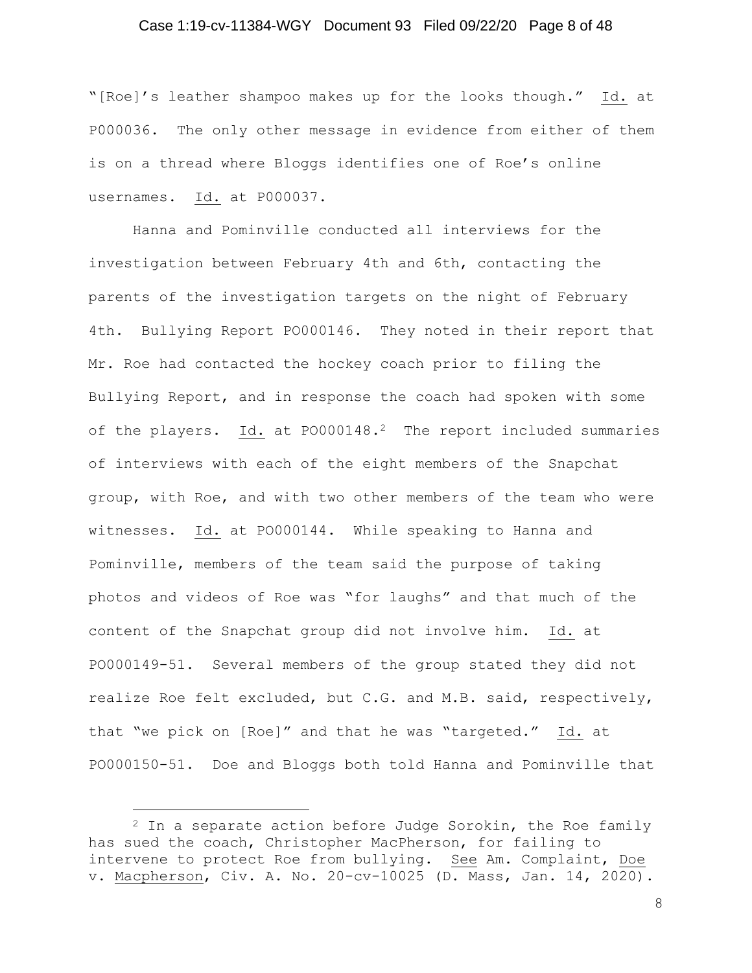## Case 1:19-cv-11384-WGY Document 93 Filed 09/22/20 Page 8 of 48

"[Roe]'s leather shampoo makes up for the looks though." Id. at P000036. The only other message in evidence from either of them is on a thread where Bloggs identifies one of Roe's online usernames. Id. at P000037.

Hanna and Pominville conducted all interviews for the investigation between February 4th and 6th, contacting the parents of the investigation targets on the night of February 4th. Bullying Report PO000146. They noted in their report that Mr. Roe had contacted the hockey coach prior to filing the Bullying Report, and in response the coach had spoken with some of the players. Id. at PO000148.<sup>2</sup> The report included summaries of interviews with each of the eight members of the Snapchat group, with Roe, and with two other members of the team who were witnesses. Id. at PO000144. While speaking to Hanna and Pominville, members of the team said the purpose of taking photos and videos of Roe was "for laughs" and that much of the content of the Snapchat group did not involve him. Id. at PO000149-51. Several members of the group stated they did not realize Roe felt excluded, but C.G. and M.B. said, respectively, that "we pick on [Roe]" and that he was "targeted." Id. at PO000150-51. Doe and Bloggs both told Hanna and Pominville that

 $2$  In a separate action before Judge Sorokin, the Roe family has sued the coach, Christopher MacPherson, for failing to intervene to protect Roe from bullying. See Am. Complaint, Doe v. Macpherson, Civ. A. No. 20-cv-10025 (D. Mass, Jan. 14, 2020).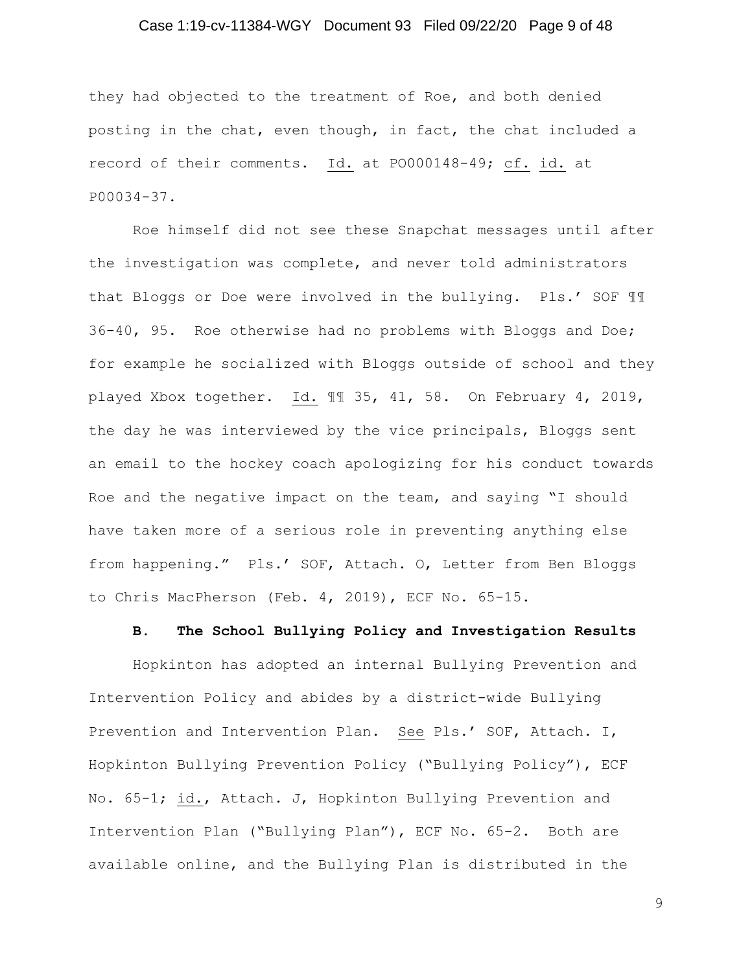## Case 1:19-cv-11384-WGY Document 93 Filed 09/22/20 Page 9 of 48

they had objected to the treatment of Roe, and both denied posting in the chat, even though, in fact, the chat included a record of their comments. Id. at PO000148-49; cf. id. at P00034-37.

Roe himself did not see these Snapchat messages until after the investigation was complete, and never told administrators that Bloggs or Doe were involved in the bullying. Pls.' SOF ¶¶ 36-40, 95. Roe otherwise had no problems with Bloggs and Doe; for example he socialized with Bloggs outside of school and they played Xbox together. Id. ¶¶ 35, 41, 58. On February 4, 2019, the day he was interviewed by the vice principals, Bloggs sent an email to the hockey coach apologizing for his conduct towards Roe and the negative impact on the team, and saying "I should have taken more of a serious role in preventing anything else from happening." Pls.' SOF, Attach. O, Letter from Ben Bloggs to Chris MacPherson (Feb. 4, 2019), ECF No. 65-15.

## **B. The School Bullying Policy and Investigation Results**

Hopkinton has adopted an internal Bullying Prevention and Intervention Policy and abides by a district-wide Bullying Prevention and Intervention Plan. See Pls.' SOF, Attach. I, Hopkinton Bullying Prevention Policy ("Bullying Policy"), ECF No. 65-1; id., Attach. J, Hopkinton Bullying Prevention and Intervention Plan ("Bullying Plan"), ECF No. 65-2. Both are available online, and the Bullying Plan is distributed in the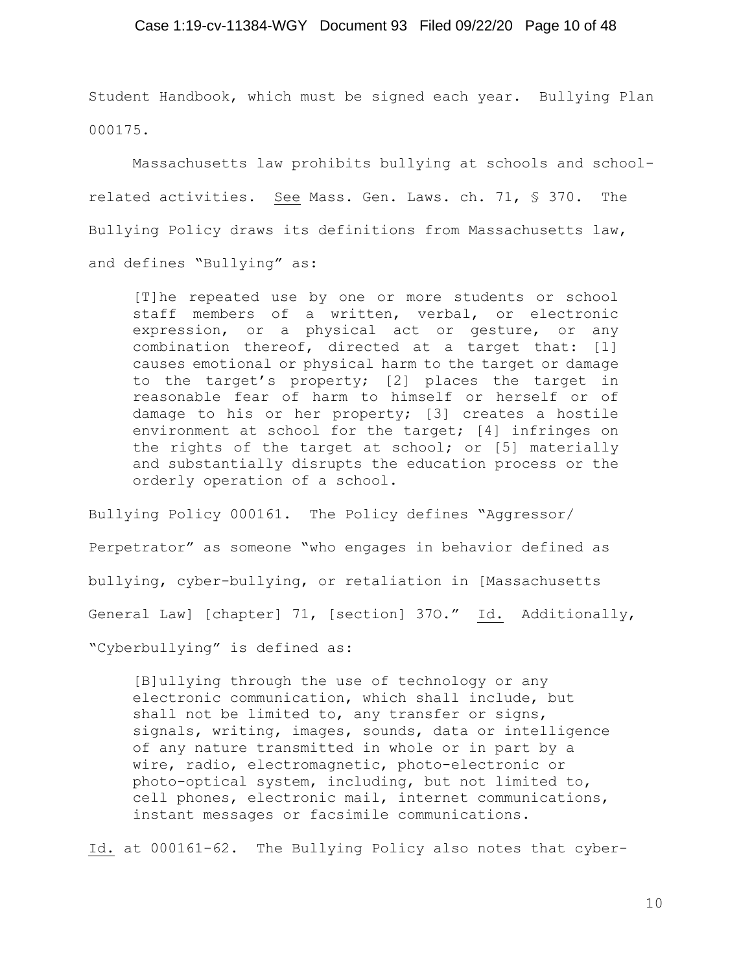## Case 1:19-cv-11384-WGY Document 93 Filed 09/22/20 Page 10 of 48

Student Handbook, which must be signed each year. Bullying Plan 000175.

Massachusetts law prohibits bullying at schools and schoolrelated activities. See Mass. Gen. Laws. ch. 71, § 370. The Bullying Policy draws its definitions from Massachusetts law, and defines "Bullying" as:

[T]he repeated use by one or more students or school staff members of a written, verbal, or electronic expression, or a physical act or gesture, or any combination thereof, directed at a target that: [1] causes emotional or physical harm to the target or damage to the target's property; [2] places the target in reasonable fear of harm to himself or herself or of damage to his or her property; [3] creates a hostile environment at school for the target; [4] infringes on the rights of the target at school; or [5] materially and substantially disrupts the education process or the orderly operation of a school.

Bullying Policy 000161. The Policy defines "Aggressor/ Perpetrator" as someone "who engages in behavior defined as bullying, cyber-bullying, or retaliation in [Massachusetts General Law] [chapter] 71, [section] 37O." Id. Additionally, "Cyberbullying" is defined as:

[B]ullying through the use of technology or any electronic communication, which shall include, but shall not be limited to, any transfer or signs, signals, writing, images, sounds, data or intelligence of any nature transmitted in whole or in part by a wire, radio, electromagnetic, photo-electronic or photo-optical system, including, but not limited to, cell phones, electronic mail, internet communications, instant messages or facsimile communications.

Id. at 000161-62. The Bullying Policy also notes that cyber-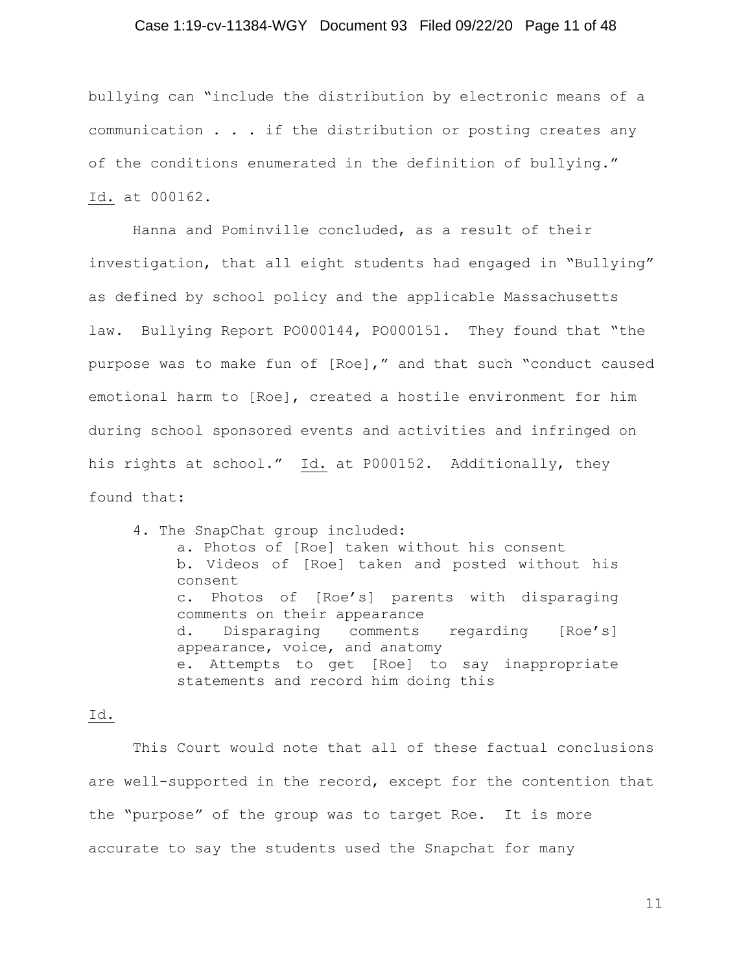## Case 1:19-cv-11384-WGY Document 93 Filed 09/22/20 Page 11 of 48

bullying can "include the distribution by electronic means of a communication . . . if the distribution or posting creates any of the conditions enumerated in the definition of bullying." Id. at 000162.

Hanna and Pominville concluded, as a result of their investigation, that all eight students had engaged in "Bullying" as defined by school policy and the applicable Massachusetts law. Bullying Report PO000144, PO000151. They found that "the purpose was to make fun of [Roe]," and that such "conduct caused emotional harm to [Roe], created a hostile environment for him during school sponsored events and activities and infringed on his rights at school." Id. at P000152. Additionally, they found that:

4. The SnapChat group included: a. Photos of [Roe] taken without his consent b. Videos of [Roe] taken and posted without his consent c. Photos of [Roe's] parents with disparaging comments on their appearance d. Disparaging comments regarding [Roe's] appearance, voice, and anatomy e. Attempts to get [Roe] to say inappropriate statements and record him doing this

#### Id.

This Court would note that all of these factual conclusions are well-supported in the record, except for the contention that the "purpose" of the group was to target Roe. It is more accurate to say the students used the Snapchat for many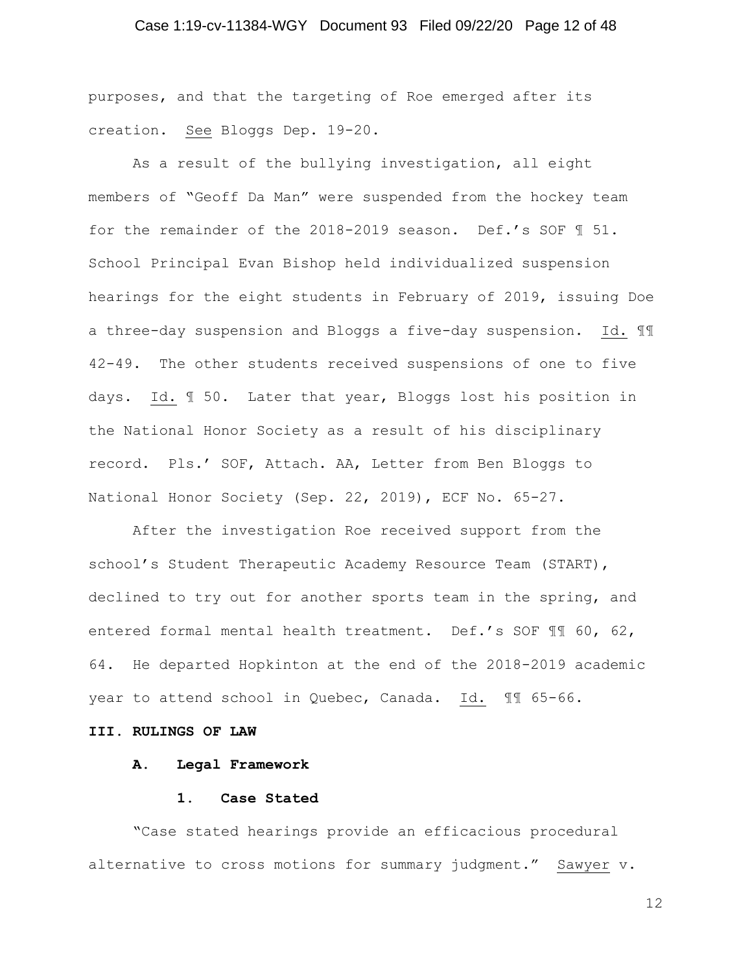## Case 1:19-cv-11384-WGY Document 93 Filed 09/22/20 Page 12 of 48

purposes, and that the targeting of Roe emerged after its creation. See Bloggs Dep. 19-20.

As a result of the bullying investigation, all eight members of "Geoff Da Man" were suspended from the hockey team for the remainder of the 2018-2019 season. Def.'s SOF ¶ 51. School Principal Evan Bishop held individualized suspension hearings for the eight students in February of 2019, issuing Doe a three-day suspension and Bloggs a five-day suspension. Id. ¶¶ 42-49. The other students received suspensions of one to five days. Id. ¶ 50. Later that year, Bloggs lost his position in the National Honor Society as a result of his disciplinary record. Pls.' SOF, Attach. AA, Letter from Ben Bloggs to National Honor Society (Sep. 22, 2019), ECF No. 65-27.

After the investigation Roe received support from the school's Student Therapeutic Academy Resource Team (START), declined to try out for another sports team in the spring, and entered formal mental health treatment. Def.'s SOF ¶¶ 60, 62, 64. He departed Hopkinton at the end of the 2018-2019 academic year to attend school in Quebec, Canada. Id. ¶¶ 65-66.

#### **III. RULINGS OF LAW**

#### **A. Legal Framework**

#### **1. Case Stated**

"Case stated hearings provide an efficacious procedural alternative to cross motions for summary judgment." Sawyer v.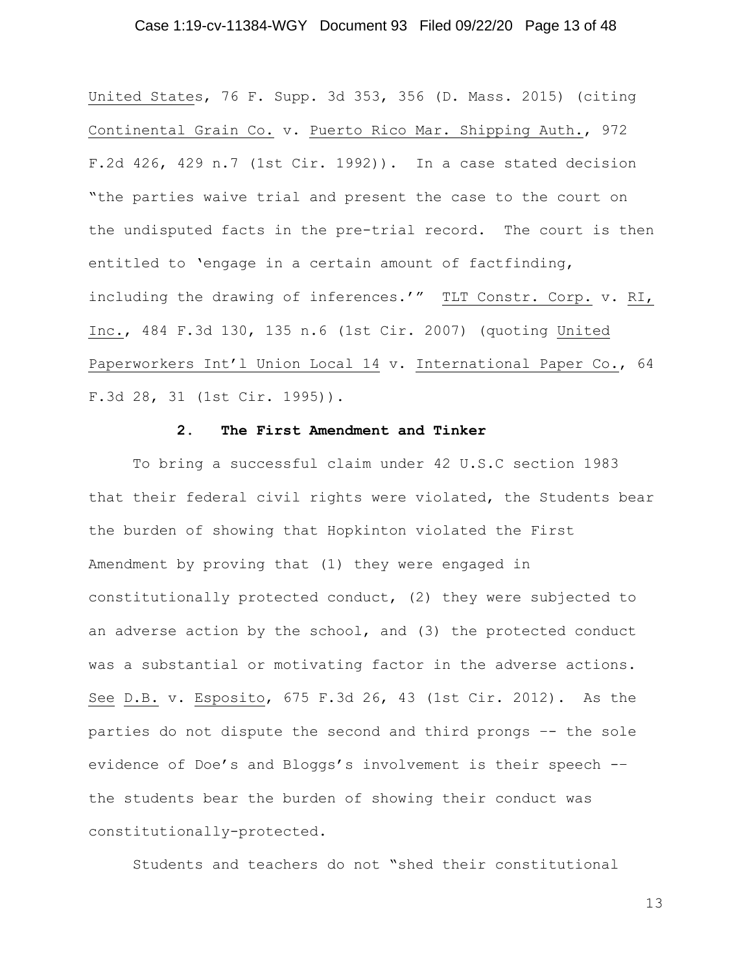## Case 1:19-cv-11384-WGY Document 93 Filed 09/22/20 Page 13 of 48

United States, 76 F. Supp. 3d 353, 356 (D. Mass. 2015) (citing Continental Grain Co. v. Puerto Rico Mar. Shipping Auth., 972 F.2d 426, 429 n.7 (1st Cir. 1992)). In a case stated decision "the parties waive trial and present the case to the court on the undisputed facts in the pre-trial record. The court is then entitled to 'engage in a certain amount of factfinding, including the drawing of inferences.'" TLT Constr. Corp. v. RI, Inc., 484 F.3d 130, 135 n.6 (1st Cir. 2007) (quoting United Paperworkers Int'l Union Local 14 v. International Paper Co., 64 F.3d 28, 31 (1st Cir. 1995)).

## **2. The First Amendment and Tinker**

To bring a successful claim under 42 U.S.C section 1983 that their federal civil rights were violated, the Students bear the burden of showing that Hopkinton violated the First Amendment by proving that (1) they were engaged in constitutionally protected conduct, (2) they were subjected to an adverse action by the school, and (3) the protected conduct was a substantial or motivating factor in the adverse actions. See D.B. v. Esposito, 675 F.3d 26, 43 (1st Cir. 2012). As the parties do not dispute the second and third prongs –- the sole evidence of Doe's and Bloggs's involvement is their speech -– the students bear the burden of showing their conduct was constitutionally-protected.

Students and teachers do not "shed their constitutional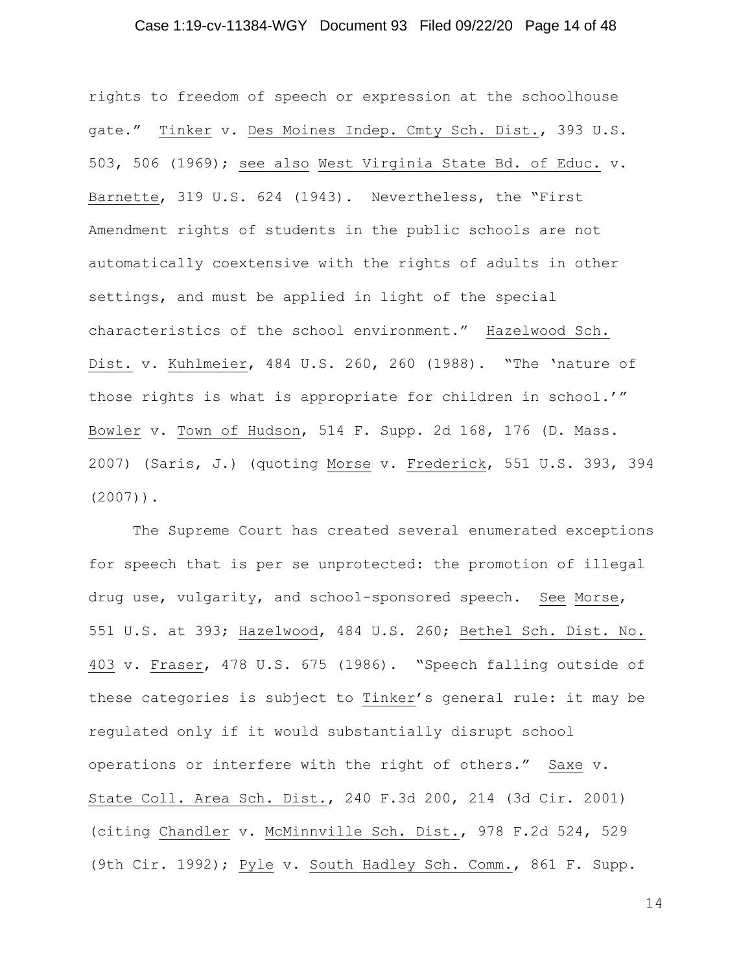## Case 1:19-cv-11384-WGY Document 93 Filed 09/22/20 Page 14 of 48

rights to freedom of speech or expression at the schoolhouse gate." Tinker v. Des Moines Indep. Cmty Sch. Dist., 393 U.S. 503, 506 (1969); see also West Virginia State Bd. of Educ. v. Barnette, 319 U.S. 624 (1943). Nevertheless, the "First Amendment rights of students in the public schools are not automatically coextensive with the rights of adults in other settings, and must be applied in light of the special characteristics of the school environment." Hazelwood Sch. Dist. v. Kuhlmeier, 484 U.S. 260, 260 (1988). "The 'nature of those rights is what is appropriate for children in school.'" Bowler v. Town of Hudson, 514 F. Supp. 2d 168, 176 (D. Mass. 2007) (Saris, J.) (quoting Morse v. Frederick, 551 U.S. 393, 394 (2007)).

The Supreme Court has created several enumerated exceptions for speech that is per se unprotected: the promotion of illegal drug use, vulgarity, and school-sponsored speech. See Morse, 551 U.S. at 393; Hazelwood, 484 U.S. 260; Bethel Sch. Dist. No. 403 v. Fraser, 478 U.S. 675 (1986). "Speech falling outside of these categories is subject to Tinker's general rule: it may be regulated only if it would substantially disrupt school operations or interfere with the right of others." Saxe v. State Coll. Area Sch. Dist., 240 F.3d 200, 214 (3d Cir. 2001) (citing Chandler v. McMinnville Sch. Dist., 978 F.2d 524, 529 (9th Cir. 1992); Pyle v. South Hadley Sch. Comm., 861 F. Supp.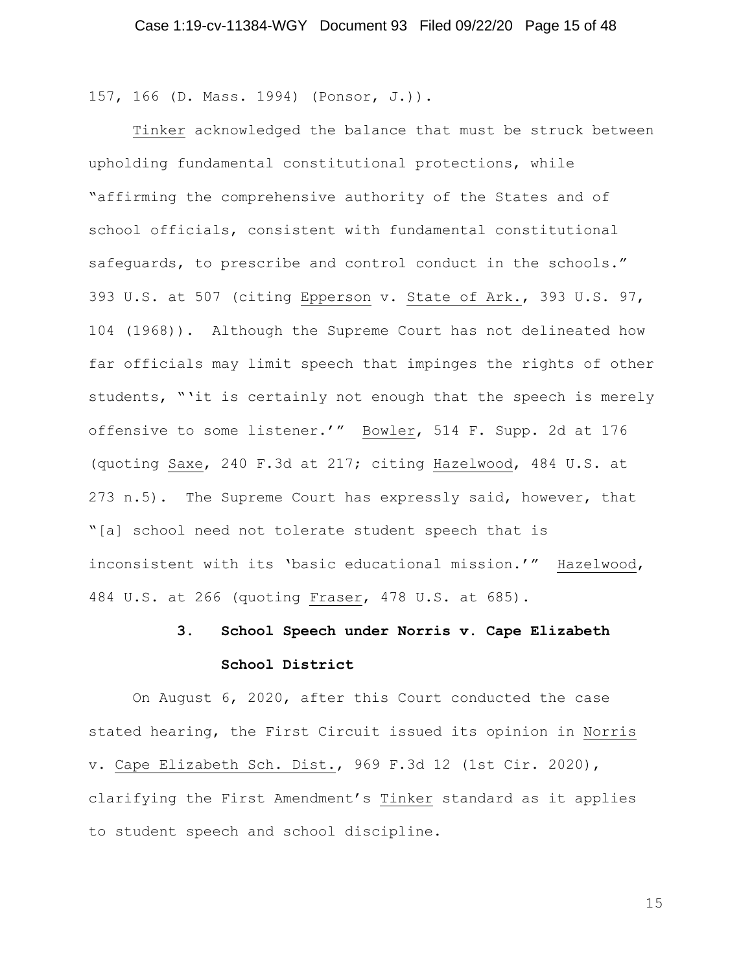157, 166 (D. Mass. 1994) (Ponsor, J.)).

Tinker acknowledged the balance that must be struck between upholding fundamental constitutional protections, while "affirming the comprehensive authority of the States and of school officials, consistent with fundamental constitutional safeguards, to prescribe and control conduct in the schools." 393 U.S. at 507 (citing Epperson v. State of Ark., 393 U.S. 97, 104 (1968)). Although the Supreme Court has not delineated how far officials may limit speech that impinges the rights of other students, "'it is certainly not enough that the speech is merely offensive to some listener.'" Bowler, 514 F. Supp. 2d at 176 (quoting Saxe, 240 F.3d at 217; citing Hazelwood, 484 U.S. at 273 n.5). The Supreme Court has expressly said, however, that "[a] school need not tolerate student speech that is inconsistent with its 'basic educational mission.'" Hazelwood, 484 U.S. at 266 (quoting Fraser, 478 U.S. at 685).

# **3. School Speech under Norris v. Cape Elizabeth School District**

On August 6, 2020, after this Court conducted the case stated hearing, the First Circuit issued its opinion in Norris v. Cape Elizabeth Sch. Dist., 969 F.3d 12 (1st Cir. 2020), clarifying the First Amendment's Tinker standard as it applies to student speech and school discipline.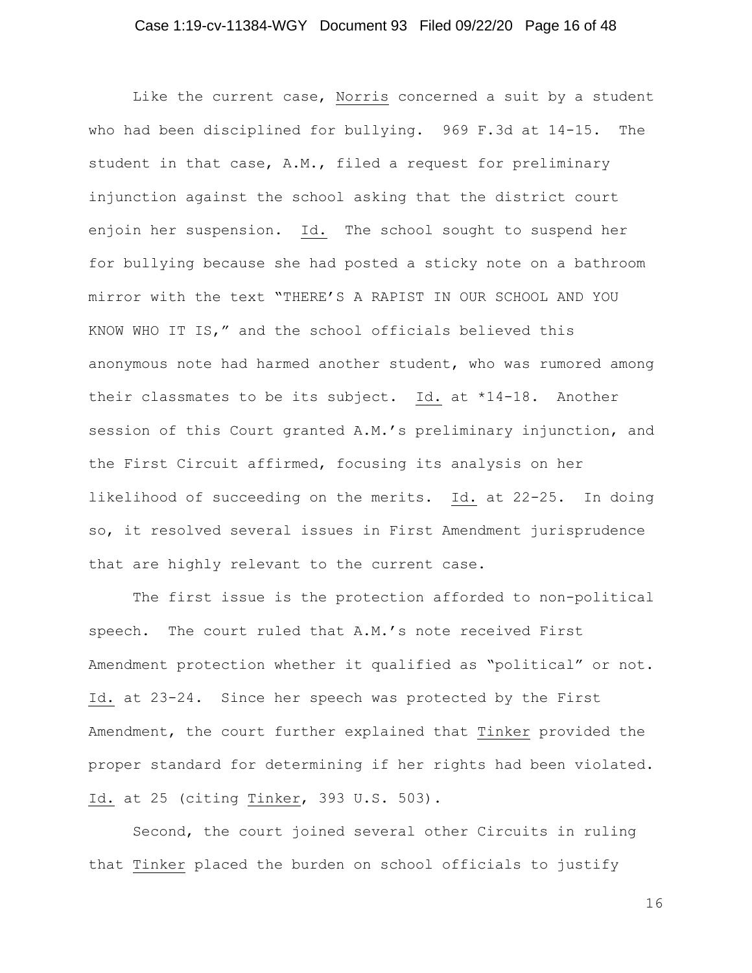## Case 1:19-cv-11384-WGY Document 93 Filed 09/22/20 Page 16 of 48

Like the current case, Norris concerned a suit by a student who had been disciplined for bullying. 969 F.3d at 14-15. The student in that case, A.M., filed a request for preliminary injunction against the school asking that the district court enjoin her suspension. Id. The school sought to suspend her for bullying because she had posted a sticky note on a bathroom mirror with the text "THERE'S A RAPIST IN OUR SCHOOL AND YOU KNOW WHO IT IS," and the school officials believed this anonymous note had harmed another student, who was rumored among their classmates to be its subject. Id. at \*14-18. Another session of this Court granted A.M.'s preliminary injunction, and the First Circuit affirmed, focusing its analysis on her likelihood of succeeding on the merits. Id. at 22-25. In doing so, it resolved several issues in First Amendment jurisprudence that are highly relevant to the current case.

The first issue is the protection afforded to non-political speech. The court ruled that A.M.'s note received First Amendment protection whether it qualified as "political" or not. Id. at 23-24. Since her speech was protected by the First Amendment, the court further explained that Tinker provided the proper standard for determining if her rights had been violated. Id. at 25 (citing Tinker, 393 U.S. 503).

Second, the court joined several other Circuits in ruling that Tinker placed the burden on school officials to justify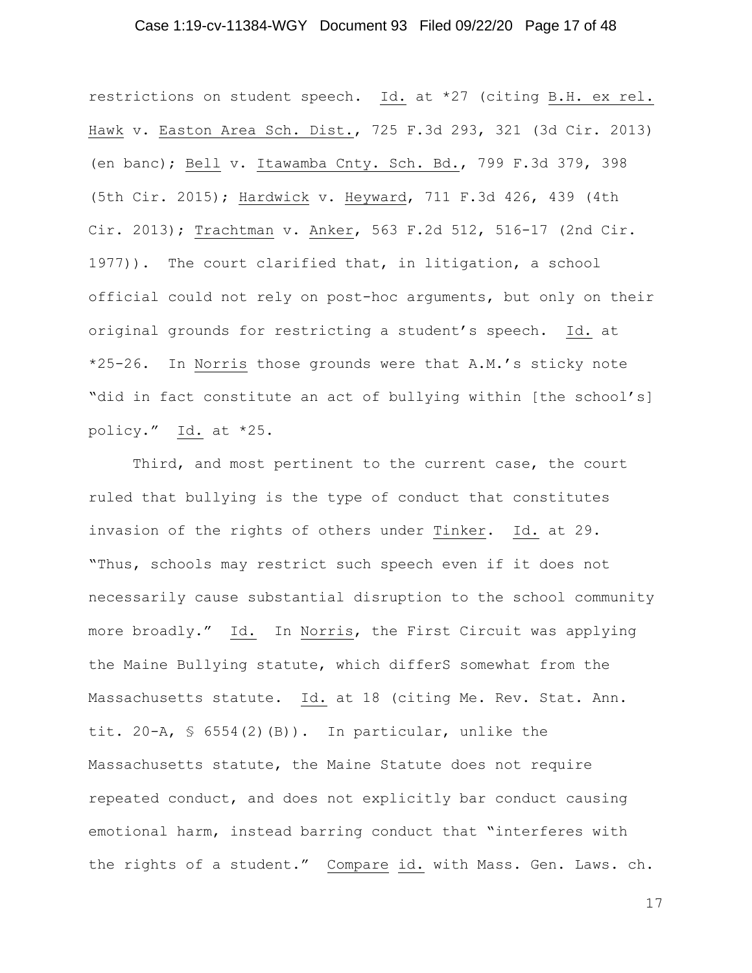## Case 1:19-cv-11384-WGY Document 93 Filed 09/22/20 Page 17 of 48

restrictions on student speech. Id. at \*27 (citing B.H. ex rel. Hawk v. Easton Area Sch. Dist., 725 F.3d 293, 321 (3d Cir. 2013) (en banc); Bell v. Itawamba Cnty. Sch. Bd., 799 F.3d 379, 398 (5th Cir. 2015); Hardwick v. Heyward, 711 F.3d 426, 439 (4th Cir. 2013); Trachtman v. Anker, 563 F.2d 512, 516-17 (2nd Cir. 1977)). The court clarified that, in litigation, a school official could not rely on post-hoc arguments, but only on their original grounds for restricting a student's speech. Id. at \*25-26. In Norris those grounds were that A.M.'s sticky note "did in fact constitute an act of bullying within [the school's] policy." Id. at \*25.

Third, and most pertinent to the current case, the court ruled that bullying is the type of conduct that constitutes invasion of the rights of others under Tinker. Id. at 29. "Thus, schools may restrict such speech even if it does not necessarily cause substantial disruption to the school community more broadly." Id. In Norris, the First Circuit was applying the Maine Bullying statute, which differS somewhat from the Massachusetts statute. Id. at 18 (citing Me. Rev. Stat. Ann. tit. 20-A,  $\frac{1}{5}$  6554(2)(B)). In particular, unlike the Massachusetts statute, the Maine Statute does not require repeated conduct, and does not explicitly bar conduct causing emotional harm, instead barring conduct that "interferes with the rights of a student." Compare id. with Mass. Gen. Laws. ch.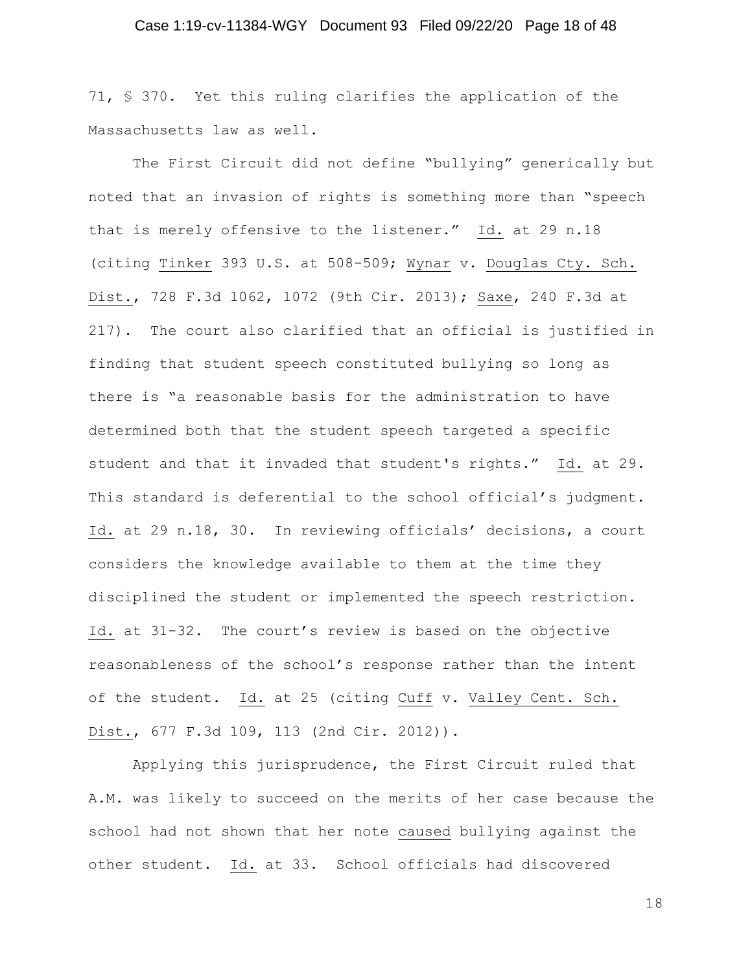71, § 370. Yet this ruling clarifies the application of the Massachusetts law as well.

The First Circuit did not define "bullying" generically but noted that an invasion of rights is something more than "speech that is merely offensive to the listener." Id. at 29 n.18 (citing Tinker 393 U.S. at 508-509; Wynar v. Douglas Cty. Sch. Dist., 728 F.3d 1062, 1072 (9th Cir. 2013); Saxe, 240 F.3d at 217). The court also clarified that an official is justified in finding that student speech constituted bullying so long as there is "a reasonable basis for the administration to have determined both that the student speech targeted a specific student and that it invaded that student's rights." Id. at 29. This standard is deferential to the school official's judgment. Id. at 29 n.18, 30. In reviewing officials' decisions, a court considers the knowledge available to them at the time they disciplined the student or implemented the speech restriction. Id. at 31-32. The court's review is based on the objective reasonableness of the school's response rather than the intent of the student. Id. at 25 (citing Cuff v. Valley Cent. Sch. Dist., 677 F.3d 109, 113 (2nd Cir. 2012)).

Applying this jurisprudence, the First Circuit ruled that A.M. was likely to succeed on the merits of her case because the school had not shown that her note caused bullying against the other student. Id. at 33. School officials had discovered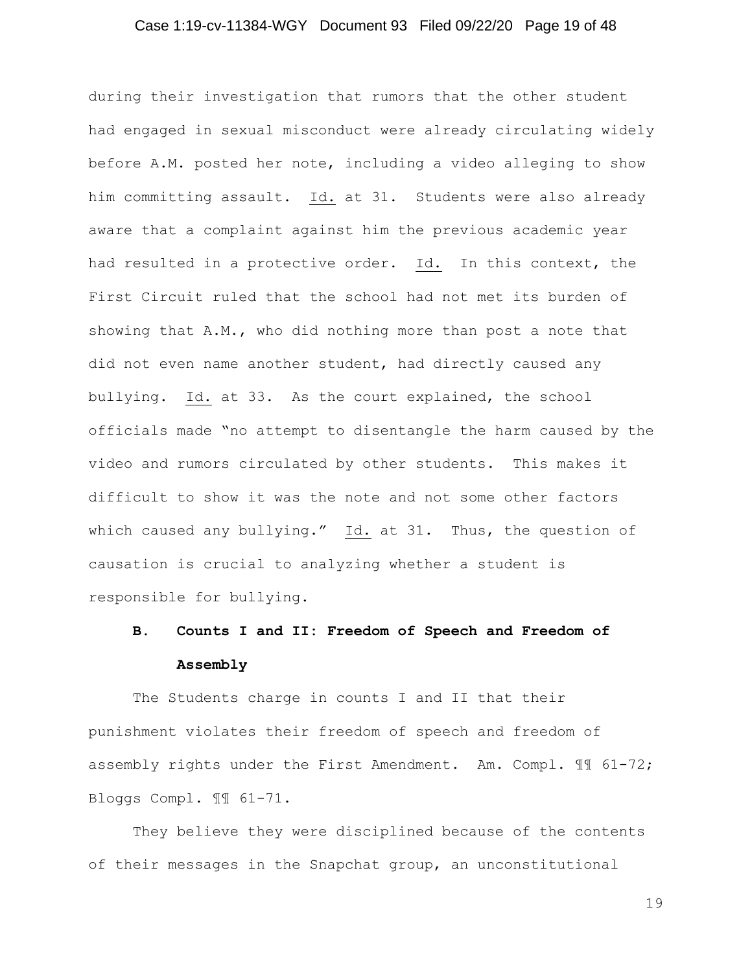## Case 1:19-cv-11384-WGY Document 93 Filed 09/22/20 Page 19 of 48

during their investigation that rumors that the other student had engaged in sexual misconduct were already circulating widely before A.M. posted her note, including a video alleging to show him committing assault. Id. at 31. Students were also already aware that a complaint against him the previous academic year had resulted in a protective order. Id. In this context, the First Circuit ruled that the school had not met its burden of showing that A.M., who did nothing more than post a note that did not even name another student, had directly caused any bullying. Id. at 33. As the court explained, the school officials made "no attempt to disentangle the harm caused by the video and rumors circulated by other students. This makes it difficult to show it was the note and not some other factors which caused any bullying." Id. at 31. Thus, the question of causation is crucial to analyzing whether a student is responsible for bullying.

# **B. Counts I and II: Freedom of Speech and Freedom of Assembly**

The Students charge in counts I and II that their punishment violates their freedom of speech and freedom of assembly rights under the First Amendment. Am. Compl. ¶¶ 61-72; Bloggs Compl. ¶¶ 61-71.

They believe they were disciplined because of the contents of their messages in the Snapchat group, an unconstitutional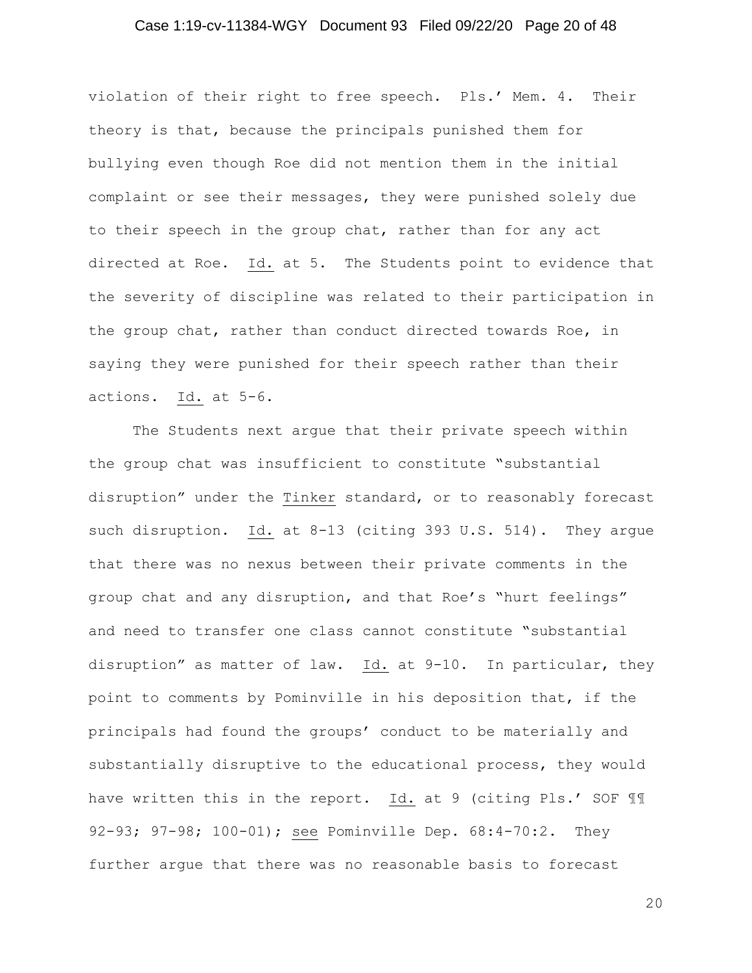## Case 1:19-cv-11384-WGY Document 93 Filed 09/22/20 Page 20 of 48

violation of their right to free speech. Pls.' Mem. 4. Their theory is that, because the principals punished them for bullying even though Roe did not mention them in the initial complaint or see their messages, they were punished solely due to their speech in the group chat, rather than for any act directed at Roe. Id. at 5. The Students point to evidence that the severity of discipline was related to their participation in the group chat, rather than conduct directed towards Roe, in saying they were punished for their speech rather than their actions. Id. at 5-6.

The Students next argue that their private speech within the group chat was insufficient to constitute "substantial disruption" under the Tinker standard, or to reasonably forecast such disruption. Id. at 8-13 (citing 393 U.S. 514). They argue that there was no nexus between their private comments in the group chat and any disruption, and that Roe's "hurt feelings" and need to transfer one class cannot constitute "substantial disruption" as matter of law. Id. at 9-10. In particular, they point to comments by Pominville in his deposition that, if the principals had found the groups' conduct to be materially and substantially disruptive to the educational process, they would have written this in the report. Id. at 9 (citing Pls.' SOF 11 92-93; 97-98; 100-01); see Pominville Dep. 68:4-70:2. They further argue that there was no reasonable basis to forecast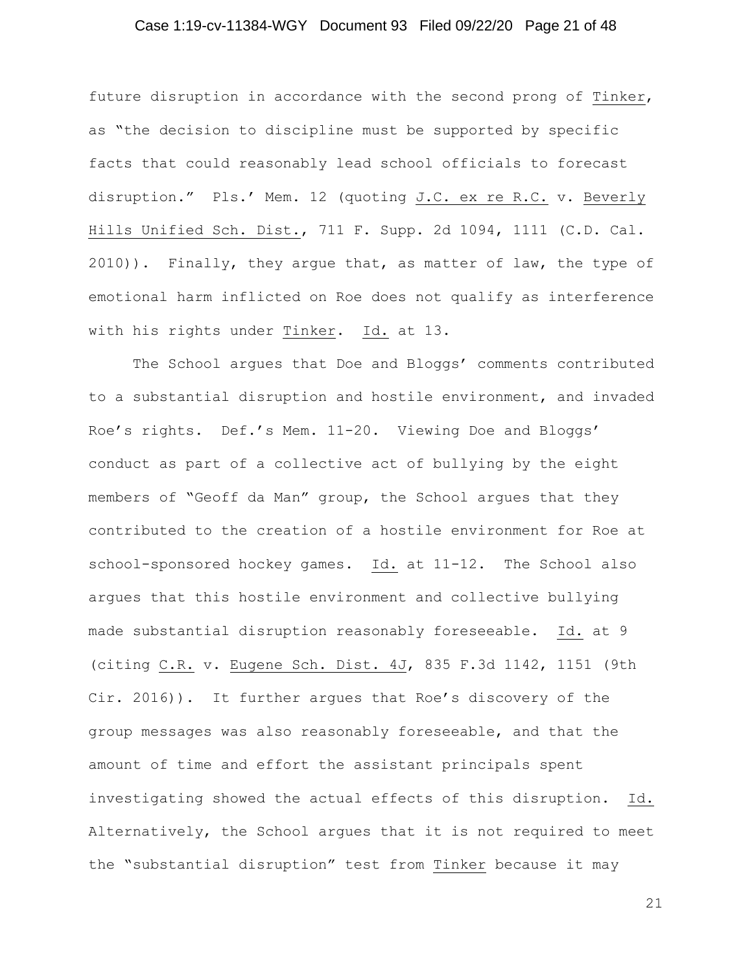## Case 1:19-cv-11384-WGY Document 93 Filed 09/22/20 Page 21 of 48

future disruption in accordance with the second prong of Tinker, as "the decision to discipline must be supported by specific facts that could reasonably lead school officials to forecast disruption." Pls.' Mem. 12 (quoting J.C. ex re R.C. v. Beverly Hills Unified Sch. Dist., 711 F. Supp. 2d 1094, 1111 (C.D. Cal. 2010)). Finally, they argue that, as matter of law, the type of emotional harm inflicted on Roe does not qualify as interference with his rights under Tinker. Id. at 13.

The School argues that Doe and Bloggs' comments contributed to a substantial disruption and hostile environment, and invaded Roe's rights. Def.'s Mem. 11-20. Viewing Doe and Bloggs' conduct as part of a collective act of bullying by the eight members of "Geoff da Man" group, the School argues that they contributed to the creation of a hostile environment for Roe at school-sponsored hockey games. Id. at 11-12. The School also argues that this hostile environment and collective bullying made substantial disruption reasonably foreseeable. Id. at 9 (citing C.R. v. Eugene Sch. Dist. 4J, 835 F.3d 1142, 1151 (9th Cir. 2016)). It further argues that Roe's discovery of the group messages was also reasonably foreseeable, and that the amount of time and effort the assistant principals spent investigating showed the actual effects of this disruption. Id. Alternatively, the School argues that it is not required to meet the "substantial disruption" test from Tinker because it may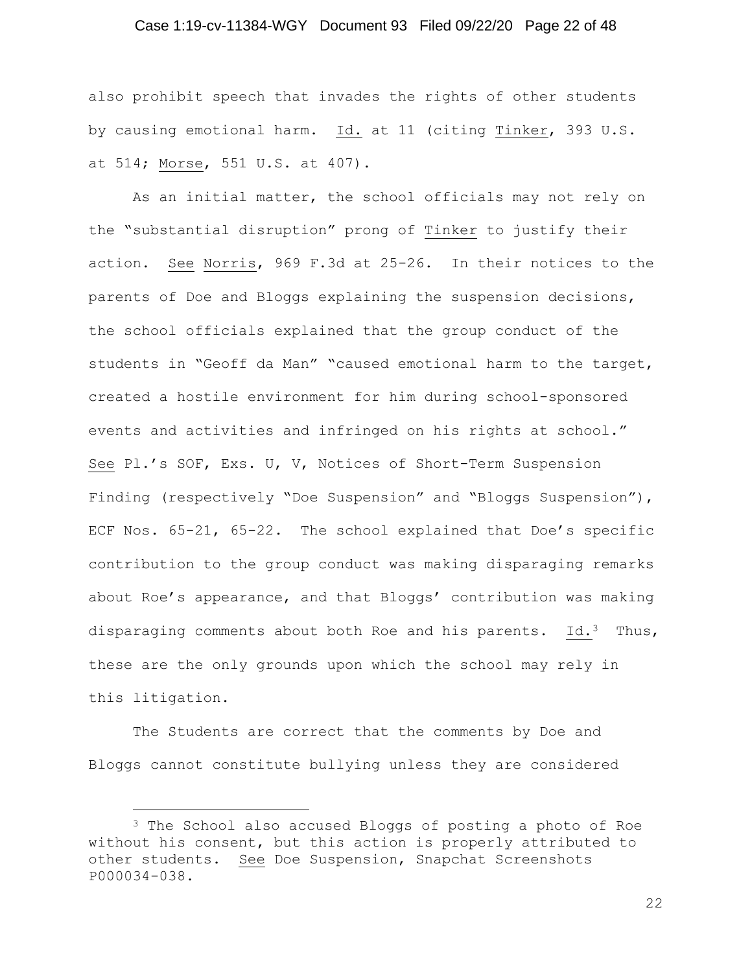## Case 1:19-cv-11384-WGY Document 93 Filed 09/22/20 Page 22 of 48

also prohibit speech that invades the rights of other students by causing emotional harm. Id. at 11 (citing Tinker, 393 U.S. at 514; Morse, 551 U.S. at 407).

As an initial matter, the school officials may not rely on the "substantial disruption" prong of Tinker to justify their action. See Norris, 969 F.3d at 25-26. In their notices to the parents of Doe and Bloggs explaining the suspension decisions, the school officials explained that the group conduct of the students in "Geoff da Man" "caused emotional harm to the target, created a hostile environment for him during school-sponsored events and activities and infringed on his rights at school." See Pl.'s SOF, Exs. U, V, Notices of Short-Term Suspension Finding (respectively "Doe Suspension" and "Bloggs Suspension"), ECF Nos. 65-21, 65-22. The school explained that Doe's specific contribution to the group conduct was making disparaging remarks about Roe's appearance, and that Bloggs' contribution was making disparaging comments about both Roe and his parents. Id.<sup>3</sup> Thus, these are the only grounds upon which the school may rely in this litigation.

The Students are correct that the comments by Doe and Bloggs cannot constitute bullying unless they are considered

<sup>3</sup> The School also accused Bloggs of posting a photo of Roe without his consent, but this action is properly attributed to other students. See Doe Suspension, Snapchat Screenshots P000034-038.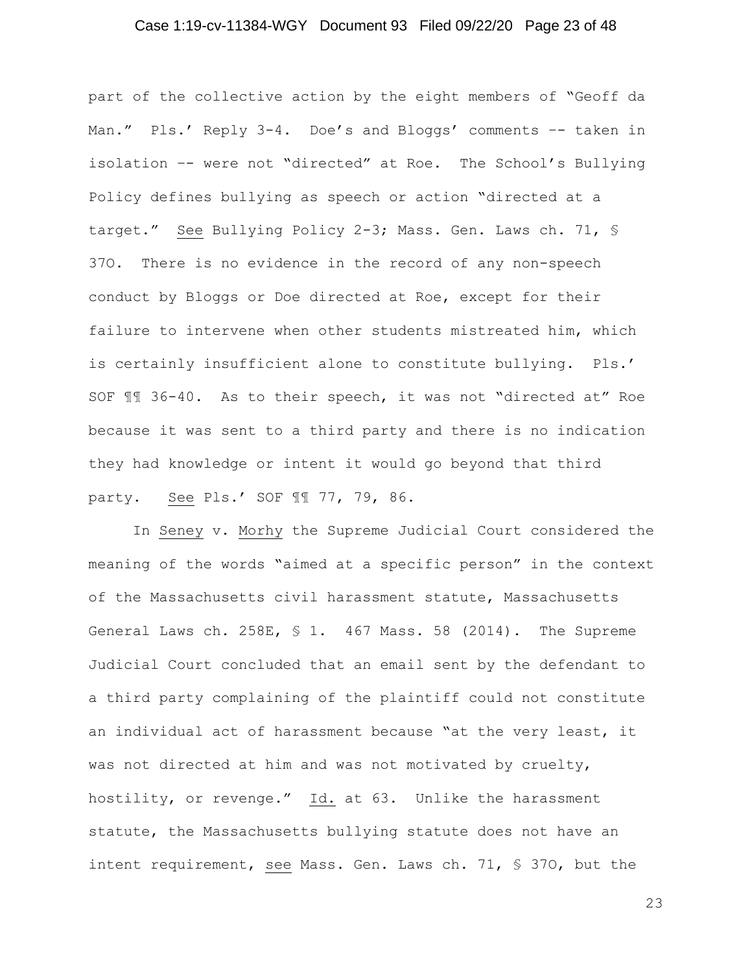## Case 1:19-cv-11384-WGY Document 93 Filed 09/22/20 Page 23 of 48

part of the collective action by the eight members of "Geoff da Man." Pls.' Reply 3-4. Doe's and Bloggs' comments -- taken in isolation –- were not "directed" at Roe. The School's Bullying Policy defines bullying as speech or action "directed at a target." See Bullying Policy 2-3; Mass. Gen. Laws ch. 71, § 37O. There is no evidence in the record of any non-speech conduct by Bloggs or Doe directed at Roe, except for their failure to intervene when other students mistreated him, which is certainly insufficient alone to constitute bullying. Pls.' SOF ¶¶ 36-40. As to their speech, it was not "directed at" Roe because it was sent to a third party and there is no indication they had knowledge or intent it would go beyond that third party. See Pls.' SOF ¶¶ 77, 79, 86.

In Seney v. Morhy the Supreme Judicial Court considered the meaning of the words "aimed at a specific person" in the context of the Massachusetts civil harassment statute, Massachusetts General Laws ch. 258E, § 1. 467 Mass. 58 (2014). The Supreme Judicial Court concluded that an email sent by the defendant to a third party complaining of the plaintiff could not constitute an individual act of harassment because "at the very least, it was not directed at him and was not motivated by cruelty, hostility, or revenge."  $Id.$  at 63. Unlike the harassment statute, the Massachusetts bullying statute does not have an intent requirement, see Mass. Gen. Laws ch. 71, § 37O, but the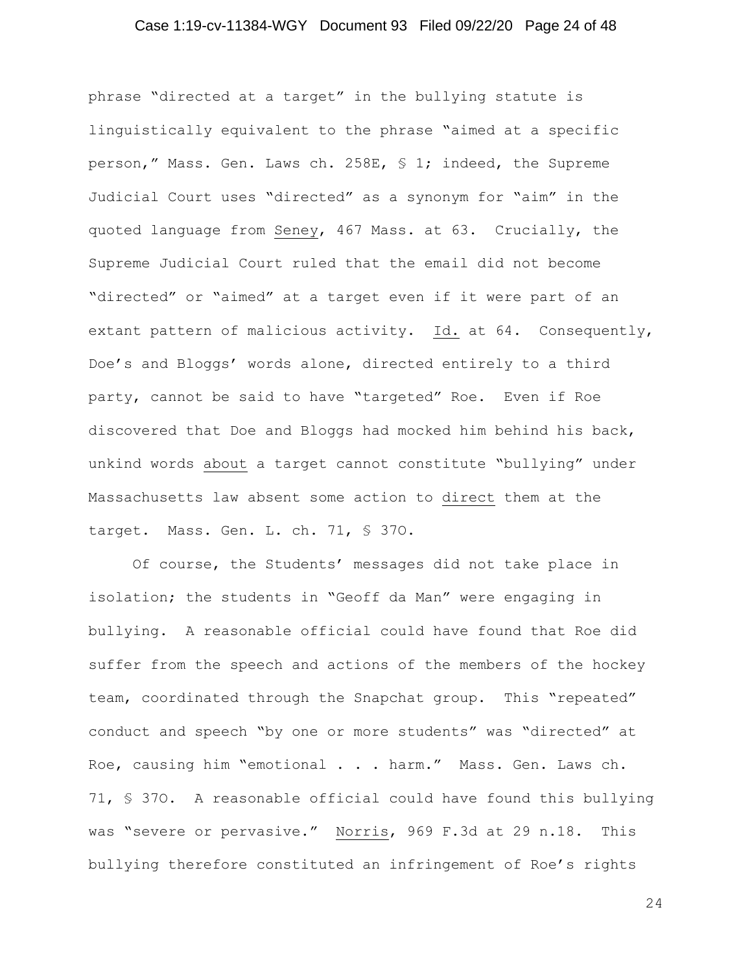## Case 1:19-cv-11384-WGY Document 93 Filed 09/22/20 Page 24 of 48

phrase "directed at a target" in the bullying statute is linguistically equivalent to the phrase "aimed at a specific person," Mass. Gen. Laws ch. 258E, § 1; indeed, the Supreme Judicial Court uses "directed" as a synonym for "aim" in the quoted language from Seney, 467 Mass. at 63. Crucially, the Supreme Judicial Court ruled that the email did not become "directed" or "aimed" at a target even if it were part of an extant pattern of malicious activity. Id. at 64. Consequently, Doe's and Bloggs' words alone, directed entirely to a third party, cannot be said to have "targeted" Roe. Even if Roe discovered that Doe and Bloggs had mocked him behind his back, unkind words about a target cannot constitute "bullying" under Massachusetts law absent some action to direct them at the target. Mass. Gen. L. ch. 71, § 37O.

Of course, the Students' messages did not take place in isolation; the students in "Geoff da Man" were engaging in bullying. A reasonable official could have found that Roe did suffer from the speech and actions of the members of the hockey team, coordinated through the Snapchat group. This "repeated" conduct and speech "by one or more students" was "directed" at Roe, causing him "emotional . . . harm." Mass. Gen. Laws ch. 71, § 37O. A reasonable official could have found this bullying was "severe or pervasive." Norris, 969 F.3d at 29 n.18. This bullying therefore constituted an infringement of Roe's rights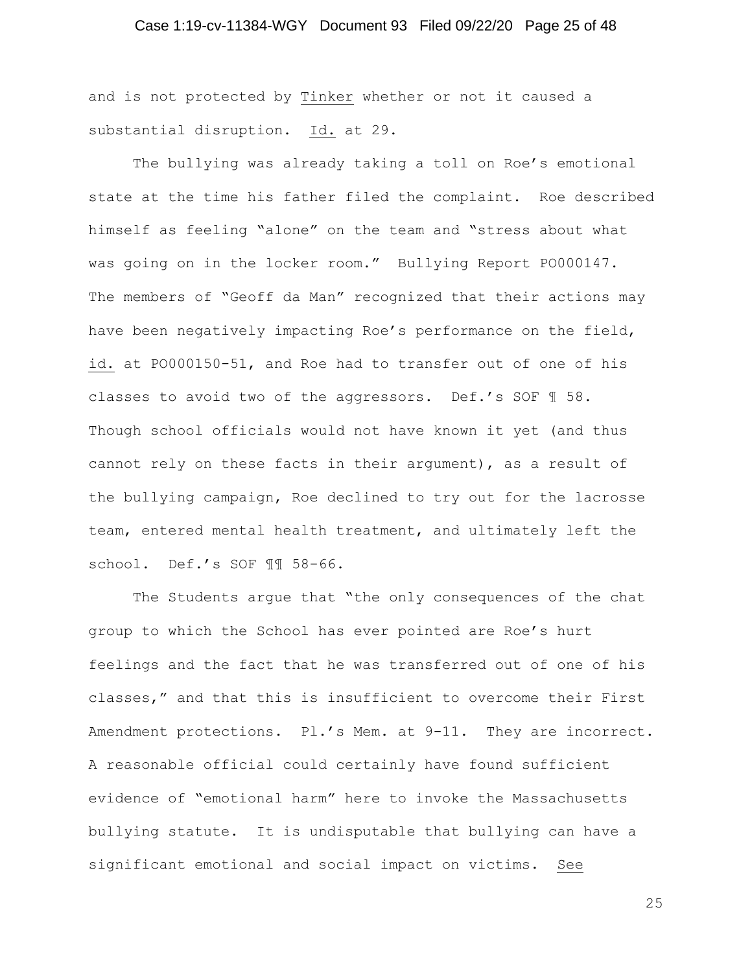## Case 1:19-cv-11384-WGY Document 93 Filed 09/22/20 Page 25 of 48

and is not protected by Tinker whether or not it caused a substantial disruption. Id. at 29.

The bullying was already taking a toll on Roe's emotional state at the time his father filed the complaint. Roe described himself as feeling "alone" on the team and "stress about what was going on in the locker room." Bullying Report PO000147. The members of "Geoff da Man" recognized that their actions may have been negatively impacting Roe's performance on the field, id. at PO000150-51, and Roe had to transfer out of one of his classes to avoid two of the aggressors. Def.'s SOF ¶ 58. Though school officials would not have known it yet (and thus cannot rely on these facts in their argument), as a result of the bullying campaign, Roe declined to try out for the lacrosse team, entered mental health treatment, and ultimately left the school. Def.'s SOF ¶¶ 58-66.

The Students argue that "the only consequences of the chat group to which the School has ever pointed are Roe's hurt feelings and the fact that he was transferred out of one of his classes," and that this is insufficient to overcome their First Amendment protections. Pl.'s Mem. at 9-11. They are incorrect. A reasonable official could certainly have found sufficient evidence of "emotional harm" here to invoke the Massachusetts bullying statute. It is undisputable that bullying can have a significant emotional and social impact on victims. See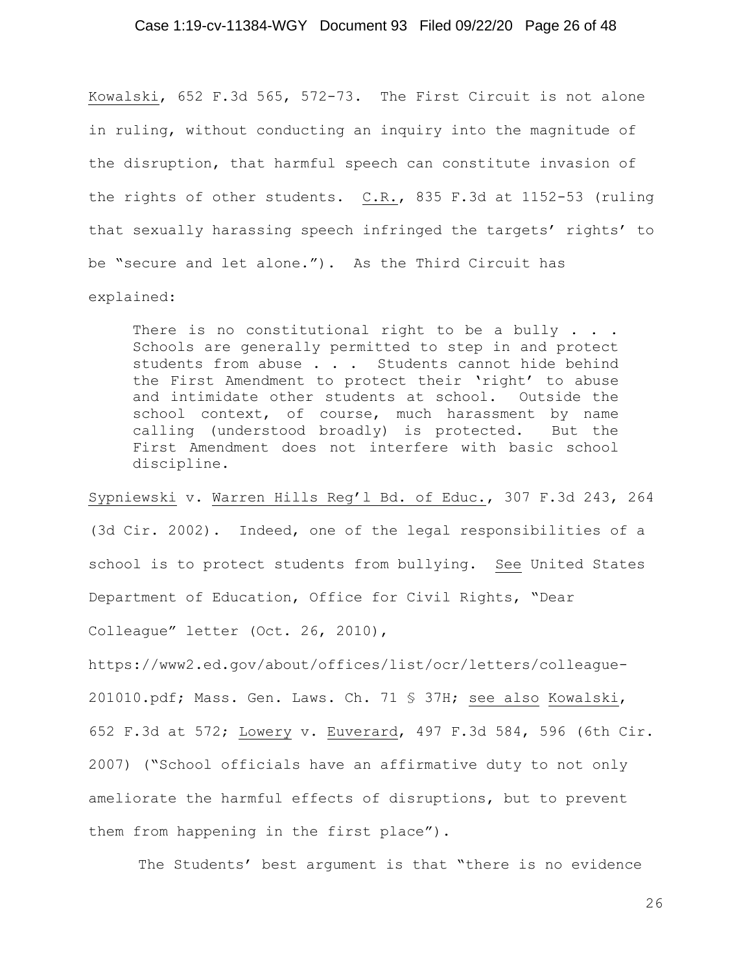## Case 1:19-cv-11384-WGY Document 93 Filed 09/22/20 Page 26 of 48

Kowalski, 652 F.3d 565, 572-73. The First Circuit is not alone in ruling, without conducting an inquiry into the magnitude of the disruption, that harmful speech can constitute invasion of the rights of other students. C.R., 835 F.3d at 1152-53 (ruling that sexually harassing speech infringed the targets' rights' to be "secure and let alone."). As the Third Circuit has explained:

There is no constitutional right to be a bully  $\ldots$ . Schools are generally permitted to step in and protect students from abuse . . . Students cannot hide behind the First Amendment to protect their 'right' to abuse and intimidate other students at school. Outside the school context, of course, much harassment by name calling (understood broadly) is protected. But the First Amendment does not interfere with basic school discipline.

Sypniewski v. Warren Hills Reg'l Bd. of Educ., 307 F.3d 243, 264 (3d Cir. 2002). Indeed, one of the legal responsibilities of a school is to protect students from bullying. See United States Department of Education, Office for Civil Rights, "Dear

Colleague" letter (Oct. 26, 2010),

https://www2.ed.gov/about/offices/list/ocr/letters/colleague-201010.pdf; Mass. Gen. Laws. Ch. 71 § 37H; see also Kowalski, 652 F.3d at 572; Lowery v. Euverard, 497 F.3d 584, 596 (6th Cir. 2007) ("School officials have an affirmative duty to not only ameliorate the harmful effects of disruptions, but to prevent them from happening in the first place").

The Students' best argument is that "there is no evidence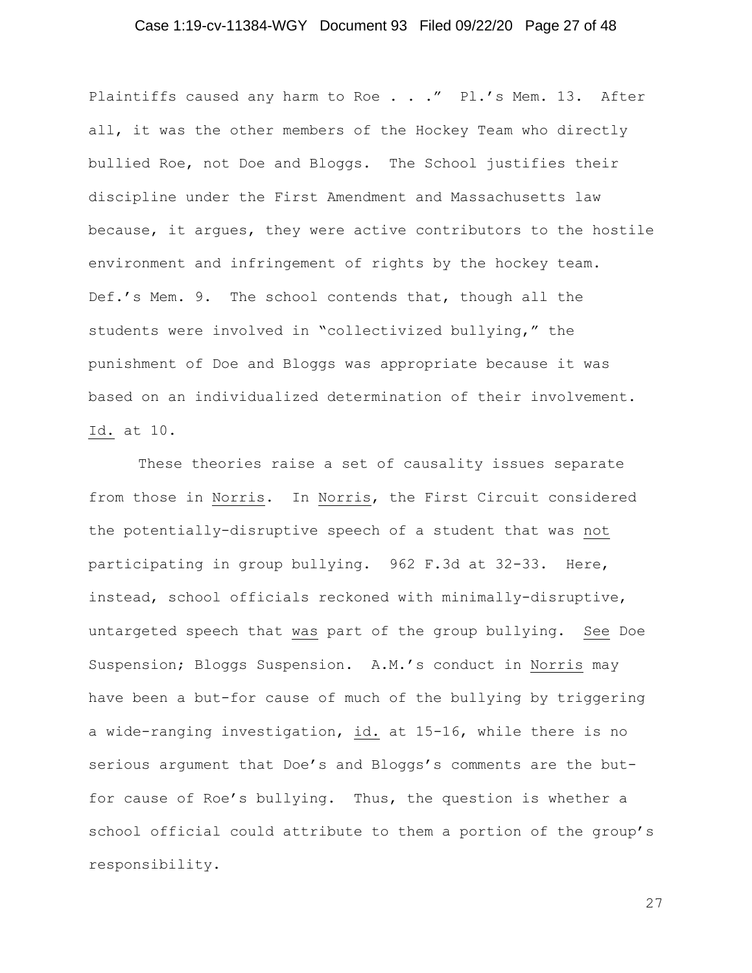## Case 1:19-cv-11384-WGY Document 93 Filed 09/22/20 Page 27 of 48

Plaintiffs caused any harm to Roe . . ." Pl.'s Mem. 13. After all, it was the other members of the Hockey Team who directly bullied Roe, not Doe and Bloggs. The School justifies their discipline under the First Amendment and Massachusetts law because, it argues, they were active contributors to the hostile environment and infringement of rights by the hockey team. Def.'s Mem. 9. The school contends that, though all the students were involved in "collectivized bullying," the punishment of Doe and Bloggs was appropriate because it was based on an individualized determination of their involvement. Id. at 10.

These theories raise a set of causality issues separate from those in Norris. In Norris, the First Circuit considered the potentially-disruptive speech of a student that was not participating in group bullying. 962 F.3d at 32-33. Here, instead, school officials reckoned with minimally-disruptive, untargeted speech that was part of the group bullying. See Doe Suspension; Bloggs Suspension. A.M.'s conduct in Norris may have been a but-for cause of much of the bullying by triggering a wide-ranging investigation, id. at 15-16, while there is no serious argument that Doe's and Bloggs's comments are the butfor cause of Roe's bullying. Thus, the question is whether a school official could attribute to them a portion of the group's responsibility.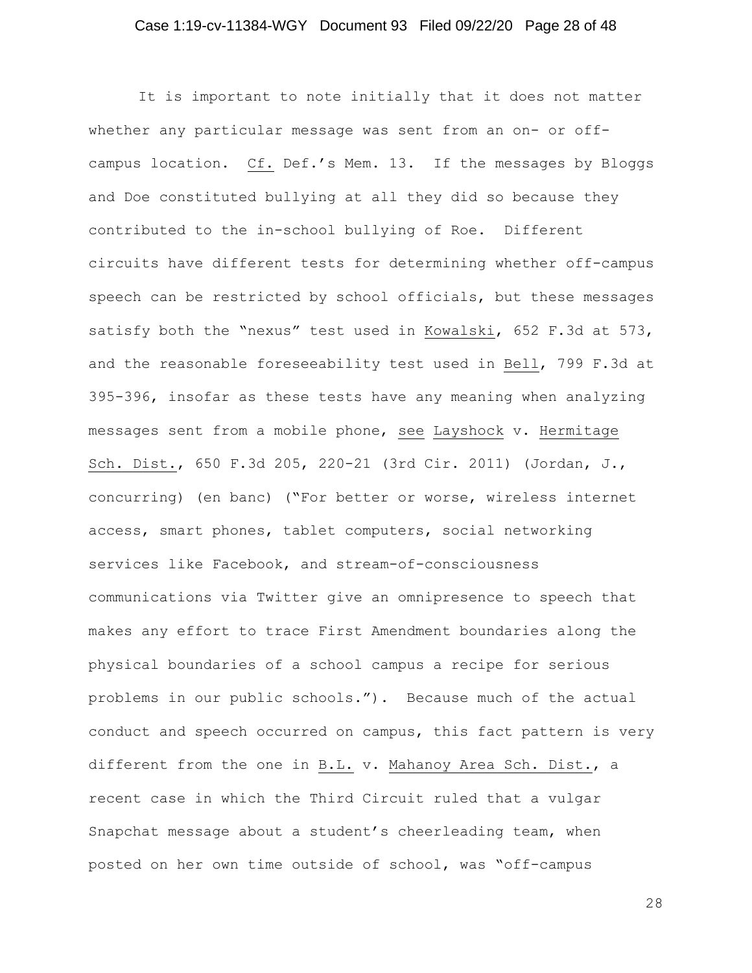## Case 1:19-cv-11384-WGY Document 93 Filed 09/22/20 Page 28 of 48

It is important to note initially that it does not matter whether any particular message was sent from an on- or offcampus location. Cf. Def.'s Mem. 13. If the messages by Bloggs and Doe constituted bullying at all they did so because they contributed to the in-school bullying of Roe. Different circuits have different tests for determining whether off-campus speech can be restricted by school officials, but these messages satisfy both the "nexus" test used in Kowalski, 652 F.3d at 573, and the reasonable foreseeability test used in Bell, 799 F.3d at 395-396, insofar as these tests have any meaning when analyzing messages sent from a mobile phone, see Layshock v. Hermitage Sch. Dist., 650 F.3d 205, 220-21 (3rd Cir. 2011) (Jordan, J., concurring) (en banc) ("For better or worse, wireless internet access, smart phones, tablet computers, social networking services like Facebook, and stream-of-consciousness communications via Twitter give an omnipresence to speech that makes any effort to trace First Amendment boundaries along the physical boundaries of a school campus a recipe for serious problems in our public schools."). Because much of the actual conduct and speech occurred on campus, this fact pattern is very different from the one in B.L. v. Mahanoy Area Sch. Dist., a recent case in which the Third Circuit ruled that a vulgar Snapchat message about a student's cheerleading team, when posted on her own time outside of school, was "off-campus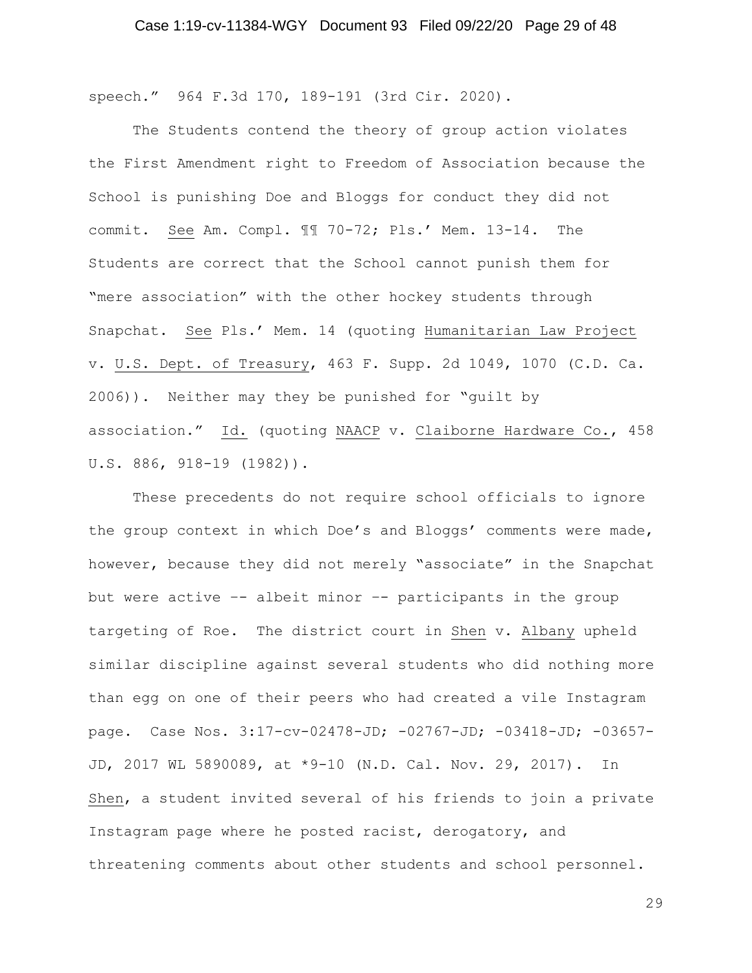speech." 964 F.3d 170, 189-191 (3rd Cir. 2020).

The Students contend the theory of group action violates the First Amendment right to Freedom of Association because the School is punishing Doe and Bloggs for conduct they did not commit. See Am. Compl. ¶¶ 70-72; Pls.' Mem. 13-14. The Students are correct that the School cannot punish them for "mere association" with the other hockey students through Snapchat. See Pls.' Mem. 14 (quoting Humanitarian Law Project v. U.S. Dept. of Treasury, 463 F. Supp. 2d 1049, 1070 (C.D. Ca. 2006)). Neither may they be punished for "guilt by association." Id. (quoting NAACP v. Claiborne Hardware Co., 458 U.S. 886, 918-19 (1982)).

These precedents do not require school officials to ignore the group context in which Doe's and Bloggs' comments were made, however, because they did not merely "associate" in the Snapchat but were active –- albeit minor –- participants in the group targeting of Roe. The district court in Shen v. Albany upheld similar discipline against several students who did nothing more than egg on one of their peers who had created a vile Instagram page. Case Nos. 3:17-cv-02478-JD; -02767-JD; -03418-JD; -03657- JD, 2017 WL 5890089, at \*9-10 (N.D. Cal. Nov. 29, 2017). In Shen, a student invited several of his friends to join a private Instagram page where he posted racist, derogatory, and threatening comments about other students and school personnel.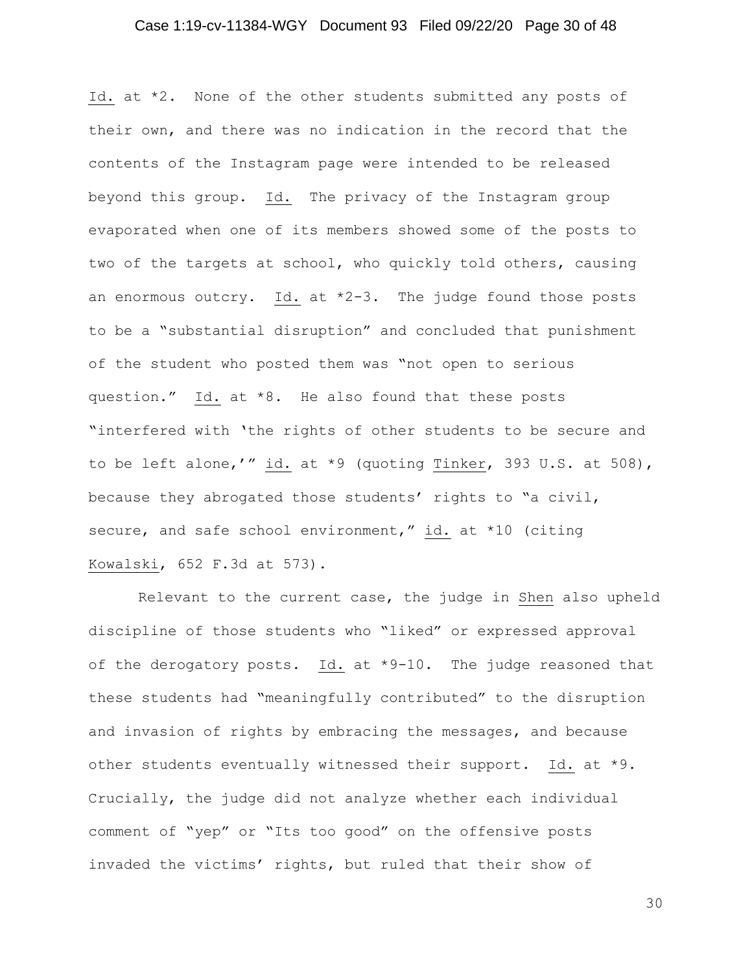## Case 1:19-cv-11384-WGY Document 93 Filed 09/22/20 Page 30 of 48

Id. at \*2. None of the other students submitted any posts of their own, and there was no indication in the record that the contents of the Instagram page were intended to be released beyond this group. Id. The privacy of the Instagram group evaporated when one of its members showed some of the posts to two of the targets at school, who quickly told others, causing an enormous outcry. Id. at \*2-3. The judge found those posts to be a "substantial disruption" and concluded that punishment of the student who posted them was "not open to serious question." Id. at \*8. He also found that these posts "interfered with 'the rights of other students to be secure and to be left alone,'" id. at \*9 (quoting Tinker, 393 U.S. at 508), because they abrogated those students' rights to "a civil, secure, and safe school environment," id. at \*10 (citing Kowalski, 652 F.3d at 573).

Relevant to the current case, the judge in Shen also upheld discipline of those students who "liked" or expressed approval of the derogatory posts. Id. at  $*9-10$ . The judge reasoned that these students had "meaningfully contributed" to the disruption and invasion of rights by embracing the messages, and because other students eventually witnessed their support. Id. at \*9. Crucially, the judge did not analyze whether each individual comment of "yep" or "Its too good" on the offensive posts invaded the victims' rights, but ruled that their show of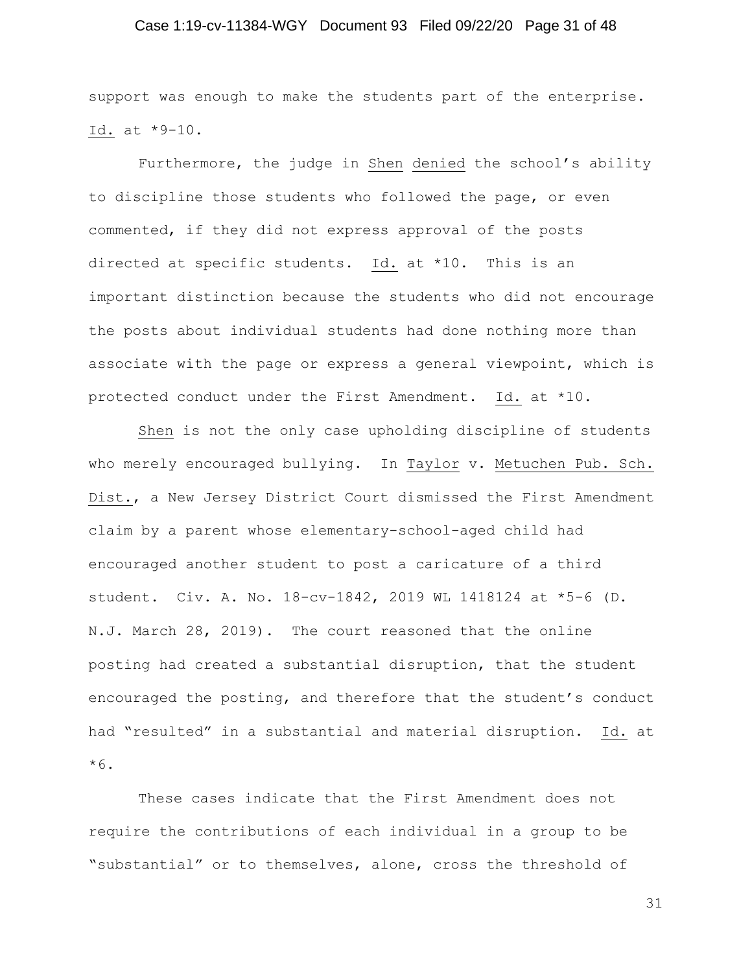## Case 1:19-cv-11384-WGY Document 93 Filed 09/22/20 Page 31 of 48

support was enough to make the students part of the enterprise. Id. at \*9-10.

Furthermore, the judge in Shen denied the school's ability to discipline those students who followed the page, or even commented, if they did not express approval of the posts directed at specific students. Id. at \*10. This is an important distinction because the students who did not encourage the posts about individual students had done nothing more than associate with the page or express a general viewpoint, which is protected conduct under the First Amendment. Id. at \*10.

Shen is not the only case upholding discipline of students who merely encouraged bullying. In Taylor v. Metuchen Pub. Sch. Dist., a New Jersey District Court dismissed the First Amendment claim by a parent whose elementary-school-aged child had encouraged another student to post a caricature of a third student. Civ. A. No. 18-cv-1842, 2019 WL 1418124 at \*5-6 (D. N.J. March 28, 2019). The court reasoned that the online posting had created a substantial disruption, that the student encouraged the posting, and therefore that the student's conduct had "resulted" in a substantial and material disruption. Id. at \*6.

These cases indicate that the First Amendment does not require the contributions of each individual in a group to be "substantial" or to themselves, alone, cross the threshold of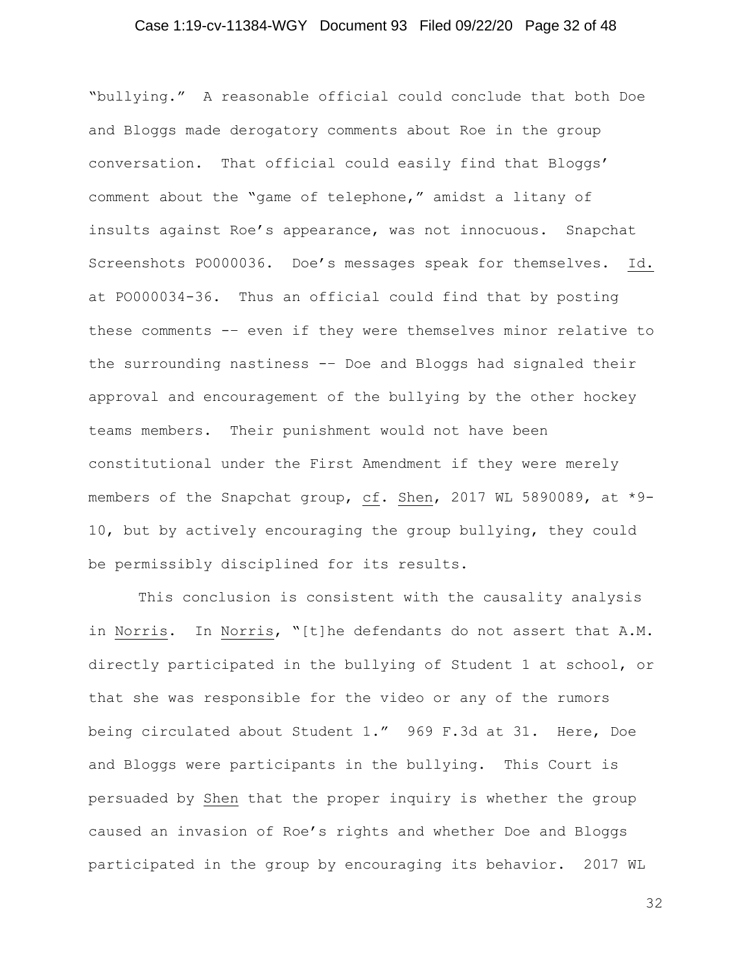## Case 1:19-cv-11384-WGY Document 93 Filed 09/22/20 Page 32 of 48

"bullying." A reasonable official could conclude that both Doe and Bloggs made derogatory comments about Roe in the group conversation. That official could easily find that Bloggs' comment about the "game of telephone," amidst a litany of insults against Roe's appearance, was not innocuous. Snapchat Screenshots PO000036. Doe's messages speak for themselves. Id. at PO000034-36. Thus an official could find that by posting these comments -– even if they were themselves minor relative to the surrounding nastiness -– Doe and Bloggs had signaled their approval and encouragement of the bullying by the other hockey teams members. Their punishment would not have been constitutional under the First Amendment if they were merely members of the Snapchat group, cf. Shen, 2017 WL 5890089, at \*9- 10, but by actively encouraging the group bullying, they could be permissibly disciplined for its results.

This conclusion is consistent with the causality analysis in Norris. In Norris, "[t]he defendants do not assert that A.M. directly participated in the bullying of Student 1 at school, or that she was responsible for the video or any of the rumors being circulated about Student 1." 969 F.3d at 31. Here, Doe and Bloggs were participants in the bullying. This Court is persuaded by Shen that the proper inquiry is whether the group caused an invasion of Roe's rights and whether Doe and Bloggs participated in the group by encouraging its behavior. 2017 WL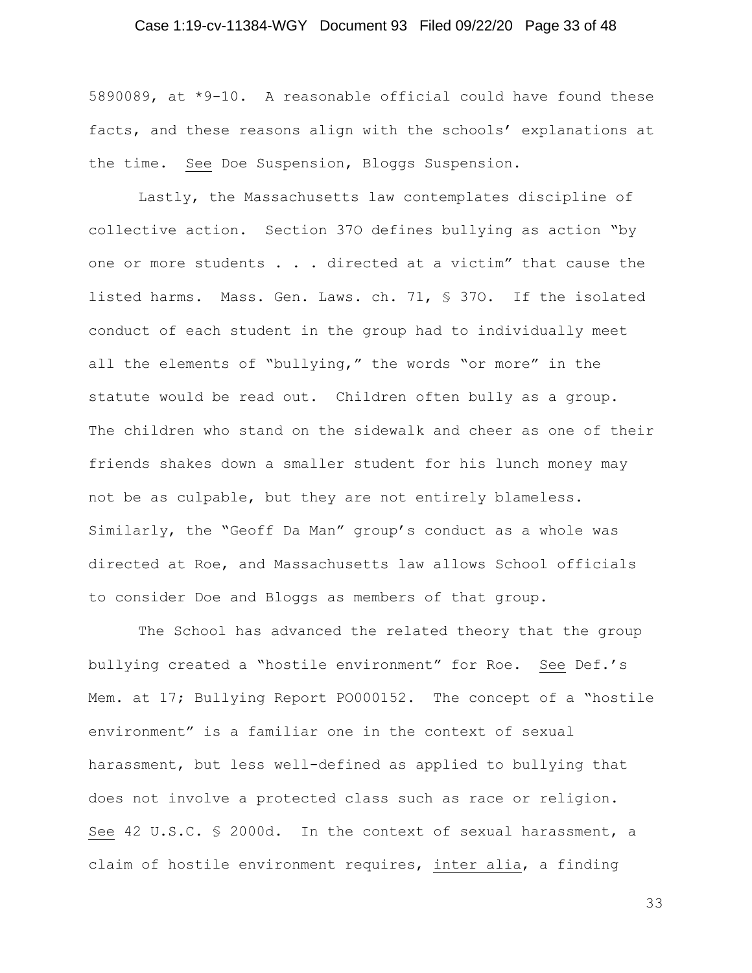## Case 1:19-cv-11384-WGY Document 93 Filed 09/22/20 Page 33 of 48

5890089, at \*9-10. A reasonable official could have found these facts, and these reasons align with the schools' explanations at the time. See Doe Suspension, Bloggs Suspension.

Lastly, the Massachusetts law contemplates discipline of collective action. Section 37O defines bullying as action "by one or more students . . . directed at a victim" that cause the listed harms. Mass. Gen. Laws. ch. 71, § 37O. If the isolated conduct of each student in the group had to individually meet all the elements of "bullying," the words "or more" in the statute would be read out. Children often bully as a group. The children who stand on the sidewalk and cheer as one of their friends shakes down a smaller student for his lunch money may not be as culpable, but they are not entirely blameless. Similarly, the "Geoff Da Man" group's conduct as a whole was directed at Roe, and Massachusetts law allows School officials to consider Doe and Bloggs as members of that group.

The School has advanced the related theory that the group bullying created a "hostile environment" for Roe. See Def.'s Mem. at 17; Bullying Report PO000152. The concept of a "hostile environment" is a familiar one in the context of sexual harassment, but less well-defined as applied to bullying that does not involve a protected class such as race or religion. See 42 U.S.C. § 2000d. In the context of sexual harassment, a claim of hostile environment requires, inter alia, a finding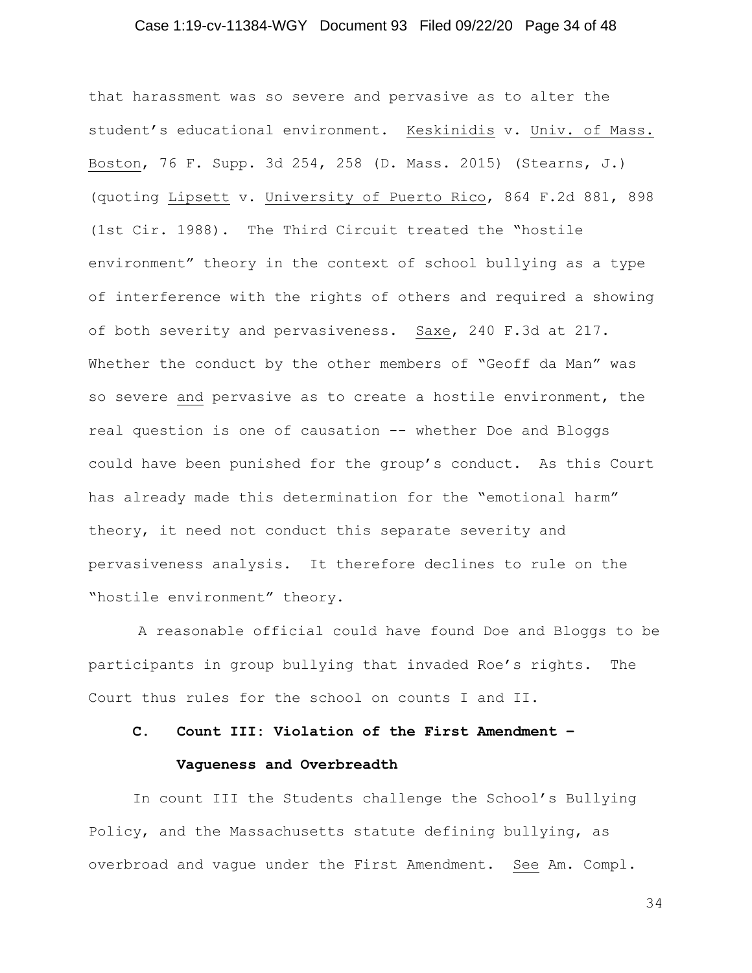## Case 1:19-cv-11384-WGY Document 93 Filed 09/22/20 Page 34 of 48

that harassment was so severe and pervasive as to alter the student's educational environment. Keskinidis v. Univ. of Mass. Boston, 76 F. Supp. 3d 254, 258 (D. Mass. 2015) (Stearns, J.) (quoting Lipsett v. University of Puerto Rico, 864 F.2d 881, 898 (1st Cir. 1988). The Third Circuit treated the "hostile environment" theory in the context of school bullying as a type of interference with the rights of others and required a showing of both severity and pervasiveness. Saxe, 240 F.3d at 217. Whether the conduct by the other members of "Geoff da Man" was so severe and pervasive as to create a hostile environment, the real question is one of causation -- whether Doe and Bloggs could have been punished for the group's conduct. As this Court has already made this determination for the "emotional harm" theory, it need not conduct this separate severity and pervasiveness analysis. It therefore declines to rule on the "hostile environment" theory.

A reasonable official could have found Doe and Bloggs to be participants in group bullying that invaded Roe's rights. The Court thus rules for the school on counts I and II.

## **C. Count III: Violation of the First Amendment –**

#### **Vagueness and Overbreadth**

In count III the Students challenge the School's Bullying Policy, and the Massachusetts statute defining bullying, as overbroad and vague under the First Amendment. See Am. Compl.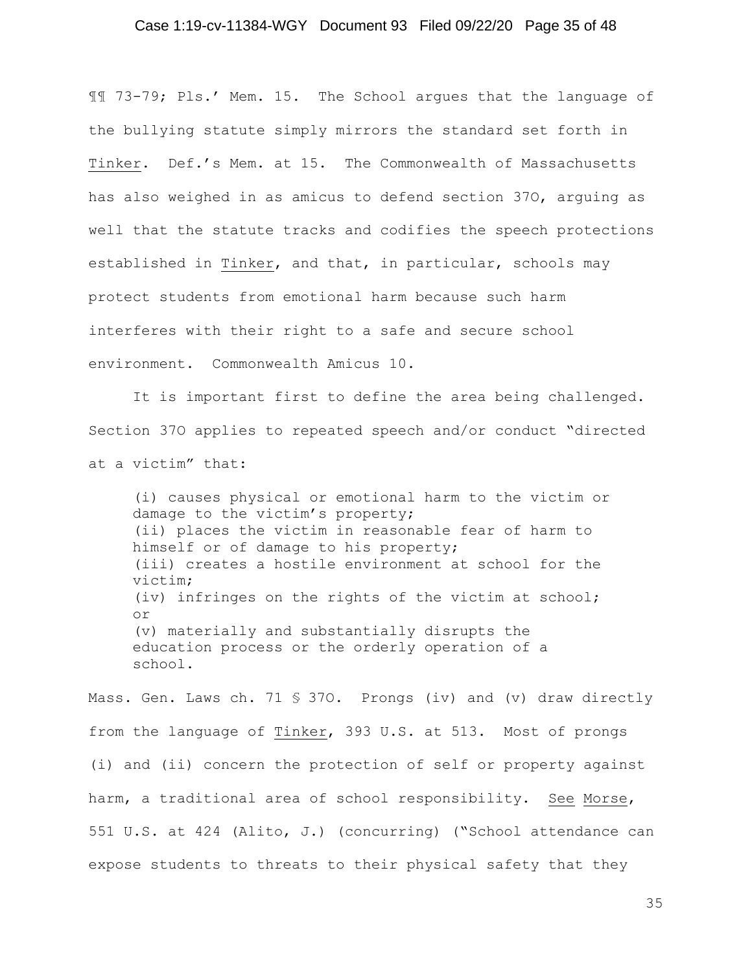## Case 1:19-cv-11384-WGY Document 93 Filed 09/22/20 Page 35 of 48

¶¶ 73-79; Pls.' Mem. 15. The School argues that the language of the bullying statute simply mirrors the standard set forth in Tinker. Def.'s Mem. at 15. The Commonwealth of Massachusetts has also weighed in as amicus to defend section 37O, arguing as well that the statute tracks and codifies the speech protections established in Tinker, and that, in particular, schools may protect students from emotional harm because such harm interferes with their right to a safe and secure school environment. Commonwealth Amicus 10.

It is important first to define the area being challenged. Section 37O applies to repeated speech and/or conduct "directed at a victim" that:

(i) causes physical or emotional harm to the victim or damage to the victim's property; (ii) places the victim in reasonable fear of harm to himself or of damage to his property; (iii) creates a hostile environment at school for the victim; (iv) infringes on the rights of the victim at school; or (v) materially and substantially disrupts the education process or the orderly operation of a school.

Mass. Gen. Laws ch. 71 § 37O. Prongs (iv) and (v) draw directly from the language of Tinker, 393 U.S. at 513. Most of prongs (i) and (ii) concern the protection of self or property against harm, a traditional area of school responsibility. See Morse, 551 U.S. at 424 (Alito, J.) (concurring) ("School attendance can expose students to threats to their physical safety that they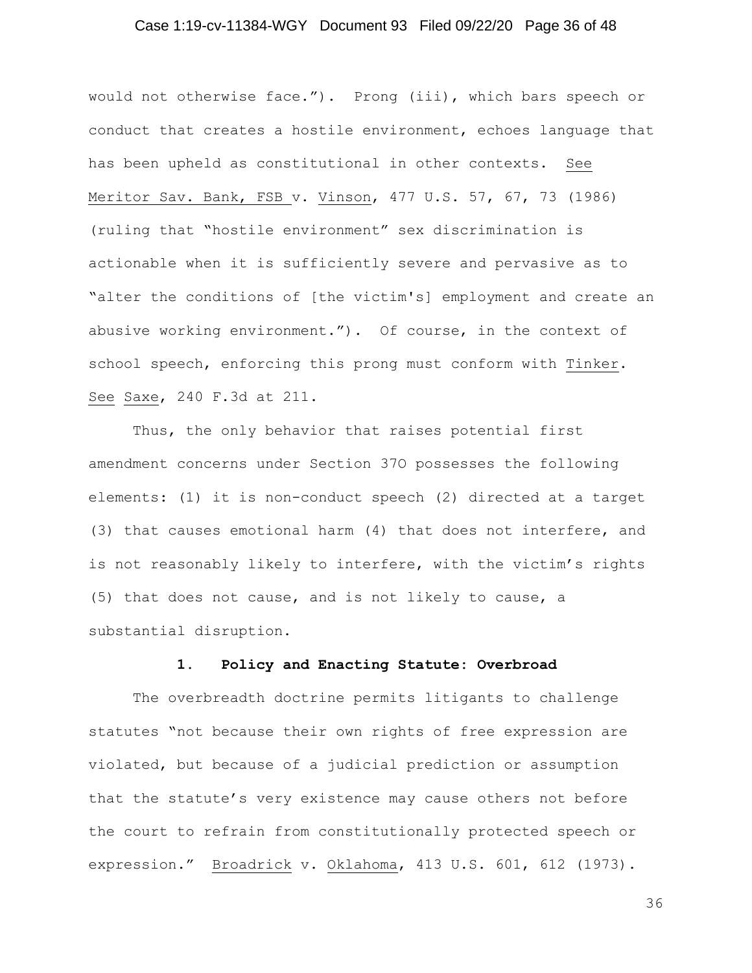## Case 1:19-cv-11384-WGY Document 93 Filed 09/22/20 Page 36 of 48

would not otherwise face."). Prong (iii), which bars speech or conduct that creates a hostile environment, echoes language that has been upheld as constitutional in other contexts. See Meritor Sav. Bank, FSB v. Vinson, 477 U.S. 57, 67, 73 (1986) (ruling that "hostile environment" sex discrimination is actionable when it is sufficiently severe and pervasive as to "alter the conditions of [the victim's] employment and create an abusive working environment."). Of course, in the context of school speech, enforcing this prong must conform with Tinker. See Saxe, 240 F.3d at 211.

Thus, the only behavior that raises potential first amendment concerns under Section 37O possesses the following elements: (1) it is non-conduct speech (2) directed at a target (3) that causes emotional harm (4) that does not interfere, and is not reasonably likely to interfere, with the victim's rights (5) that does not cause, and is not likely to cause, a substantial disruption.

#### **1. Policy and Enacting Statute: Overbroad**

The overbreadth doctrine permits litigants to challenge statutes "not because their own rights of free expression are violated, but because of a judicial prediction or assumption that the statute's very existence may cause others not before the court to refrain from constitutionally protected speech or expression." Broadrick v. Oklahoma, 413 U.S. 601, 612 (1973).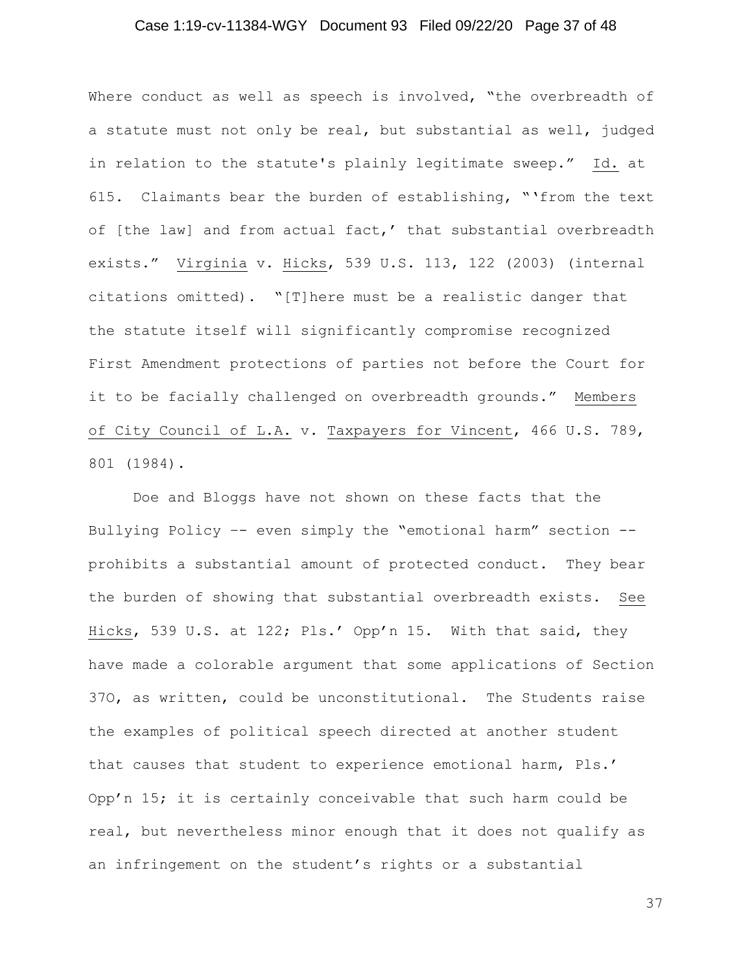## Case 1:19-cv-11384-WGY Document 93 Filed 09/22/20 Page 37 of 48

Where conduct as well as speech is involved, "the overbreadth of a statute must not only be real, but substantial as well, judged in relation to the statute's plainly legitimate sweep." Id. at 615. Claimants bear the burden of establishing, "'from the text of [the law] and from actual fact,' that substantial overbreadth exists." Virginia v. Hicks, 539 U.S. 113, 122 (2003) (internal citations omitted). "[T]here must be a realistic danger that the statute itself will significantly compromise recognized First Amendment protections of parties not before the Court for it to be facially challenged on overbreadth grounds." Members of City Council of L.A. v. Taxpayers for Vincent, 466 U.S. 789, 801 (1984).

Doe and Bloggs have not shown on these facts that the Bullying Policy –- even simply the "emotional harm" section - prohibits a substantial amount of protected conduct. They bear the burden of showing that substantial overbreadth exists. See Hicks, 539 U.S. at 122; Pls.' Opp'n 15. With that said, they have made a colorable argument that some applications of Section 37O, as written, could be unconstitutional. The Students raise the examples of political speech directed at another student that causes that student to experience emotional harm, Pls.' Opp'n 15; it is certainly conceivable that such harm could be real, but nevertheless minor enough that it does not qualify as an infringement on the student's rights or a substantial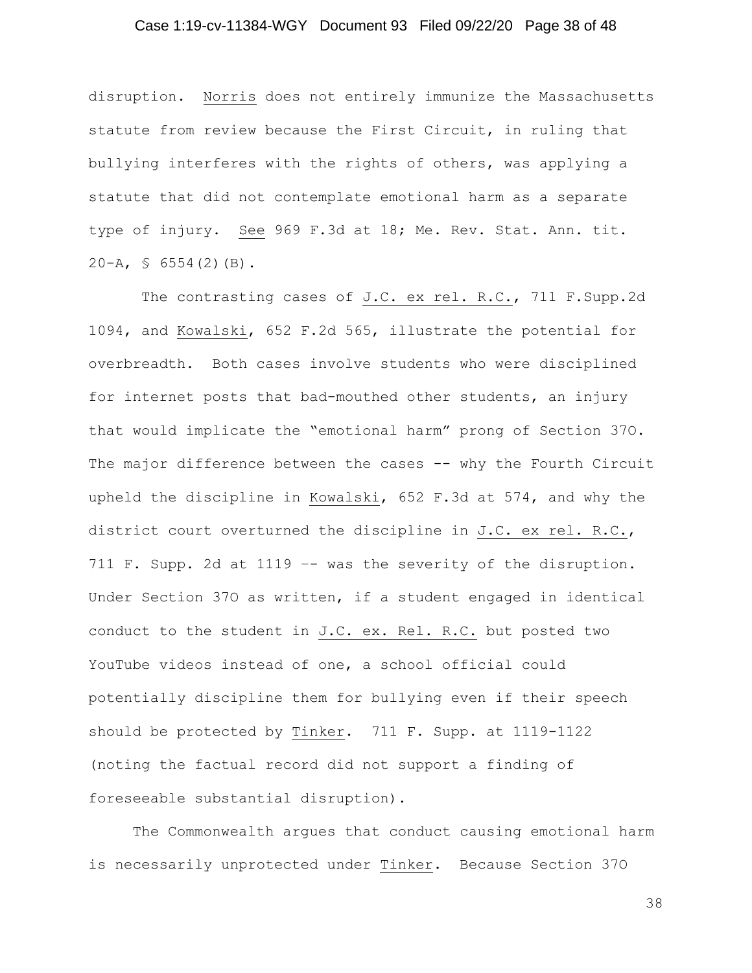## Case 1:19-cv-11384-WGY Document 93 Filed 09/22/20 Page 38 of 48

disruption. Norris does not entirely immunize the Massachusetts statute from review because the First Circuit, in ruling that bullying interferes with the rights of others, was applying a statute that did not contemplate emotional harm as a separate type of injury. See 969 F.3d at 18; Me. Rev. Stat. Ann. tit.  $20-A$ ,  $\text{S}$  6554(2)(B).

The contrasting cases of J.C. ex rel. R.C., 711 F. Supp.2d 1094, and Kowalski, 652 F.2d 565, illustrate the potential for overbreadth. Both cases involve students who were disciplined for internet posts that bad-mouthed other students, an injury that would implicate the "emotional harm" prong of Section 37O. The major difference between the cases -- why the Fourth Circuit upheld the discipline in Kowalski, 652 F.3d at 574, and why the district court overturned the discipline in J.C. ex rel. R.C., 711 F. Supp. 2d at 1119 –- was the severity of the disruption. Under Section 37O as written, if a student engaged in identical conduct to the student in J.C. ex. Rel. R.C. but posted two YouTube videos instead of one, a school official could potentially discipline them for bullying even if their speech should be protected by Tinker. 711 F. Supp. at 1119-1122 (noting the factual record did not support a finding of foreseeable substantial disruption).

The Commonwealth argues that conduct causing emotional harm is necessarily unprotected under Tinker. Because Section 37O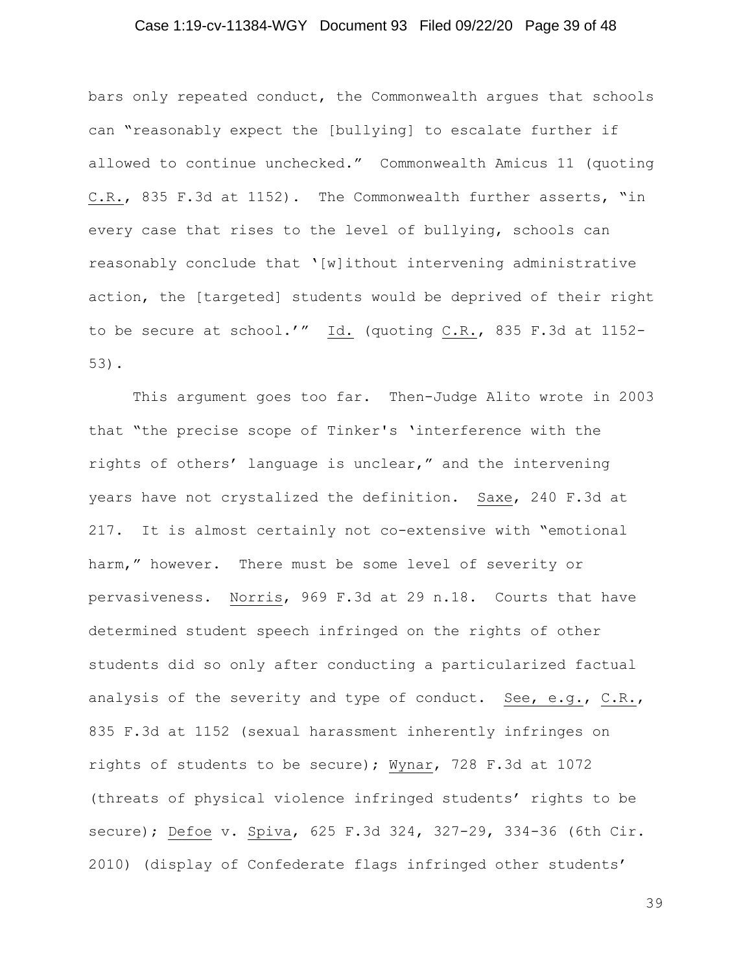## Case 1:19-cv-11384-WGY Document 93 Filed 09/22/20 Page 39 of 48

bars only repeated conduct, the Commonwealth argues that schools can "reasonably expect the [bullying] to escalate further if allowed to continue unchecked." Commonwealth Amicus 11 (quoting C.R., 835 F.3d at 1152). The Commonwealth further asserts, "in every case that rises to the level of bullying, schools can reasonably conclude that '[w]ithout intervening administrative action, the [targeted] students would be deprived of their right to be secure at school.'" Id. (quoting C.R., 835 F.3d at 1152- 53).

This argument goes too far. Then-Judge Alito wrote in 2003 that "the precise scope of Tinker's 'interference with the rights of others' language is unclear," and the intervening years have not crystalized the definition. Saxe, 240 F.3d at 217. It is almost certainly not co-extensive with "emotional harm," however. There must be some level of severity or pervasiveness. Norris, 969 F.3d at 29 n.18. Courts that have determined student speech infringed on the rights of other students did so only after conducting a particularized factual analysis of the severity and type of conduct. See, e.g., C.R., 835 F.3d at 1152 (sexual harassment inherently infringes on rights of students to be secure); Wynar, 728 F.3d at 1072 (threats of physical violence infringed students' rights to be secure); Defoe v. Spiva, 625 F.3d 324, 327-29, 334-36 (6th Cir. 2010) (display of Confederate flags infringed other students'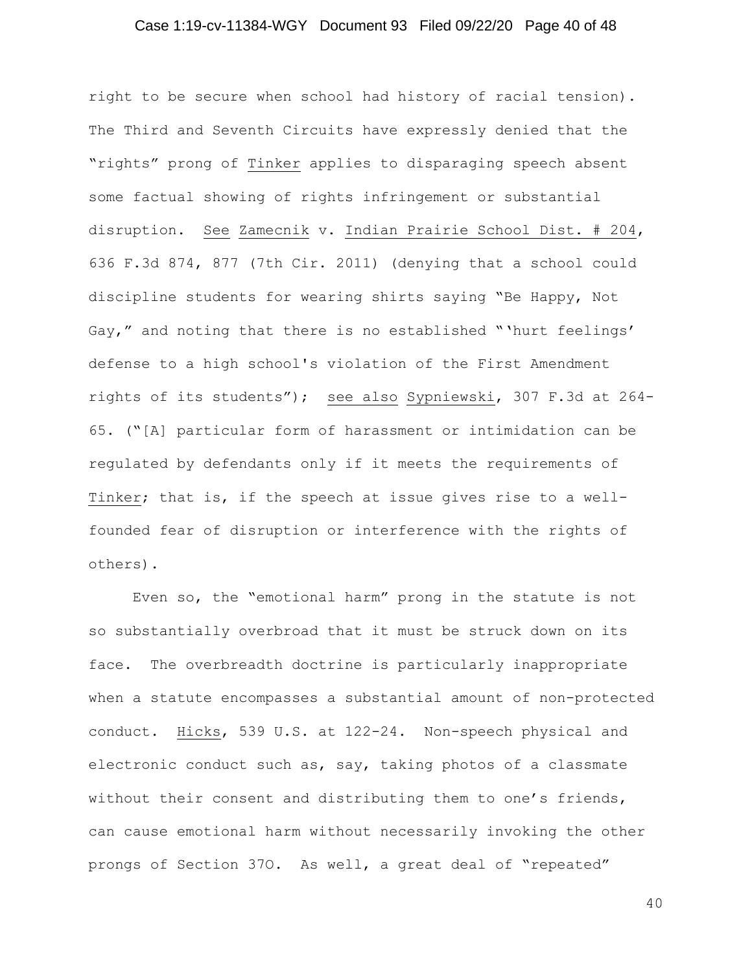## Case 1:19-cv-11384-WGY Document 93 Filed 09/22/20 Page 40 of 48

right to be secure when school had history of racial tension). The Third and Seventh Circuits have expressly denied that the "rights" prong of Tinker applies to disparaging speech absent some factual showing of rights infringement or substantial disruption. See Zamecnik v. Indian Prairie School Dist. # 204, 636 F.3d 874, 877 (7th Cir. 2011) (denying that a school could discipline students for wearing shirts saying "Be Happy, Not Gay," and noting that there is no established "'hurt feelings' defense to a high school's violation of the First Amendment rights of its students"); see also Sypniewski, 307 F.3d at 264- 65. ("[A] particular form of harassment or intimidation can be regulated by defendants only if it meets the requirements of Tinker; that is, if the speech at issue gives rise to a wellfounded fear of disruption or interference with the rights of others).

Even so, the "emotional harm" prong in the statute is not so substantially overbroad that it must be struck down on its face. The overbreadth doctrine is particularly inappropriate when a statute encompasses a substantial amount of non-protected conduct. Hicks, 539 U.S. at 122-24. Non-speech physical and electronic conduct such as, say, taking photos of a classmate without their consent and distributing them to one's friends, can cause emotional harm without necessarily invoking the other prongs of Section 37O. As well, a great deal of "repeated"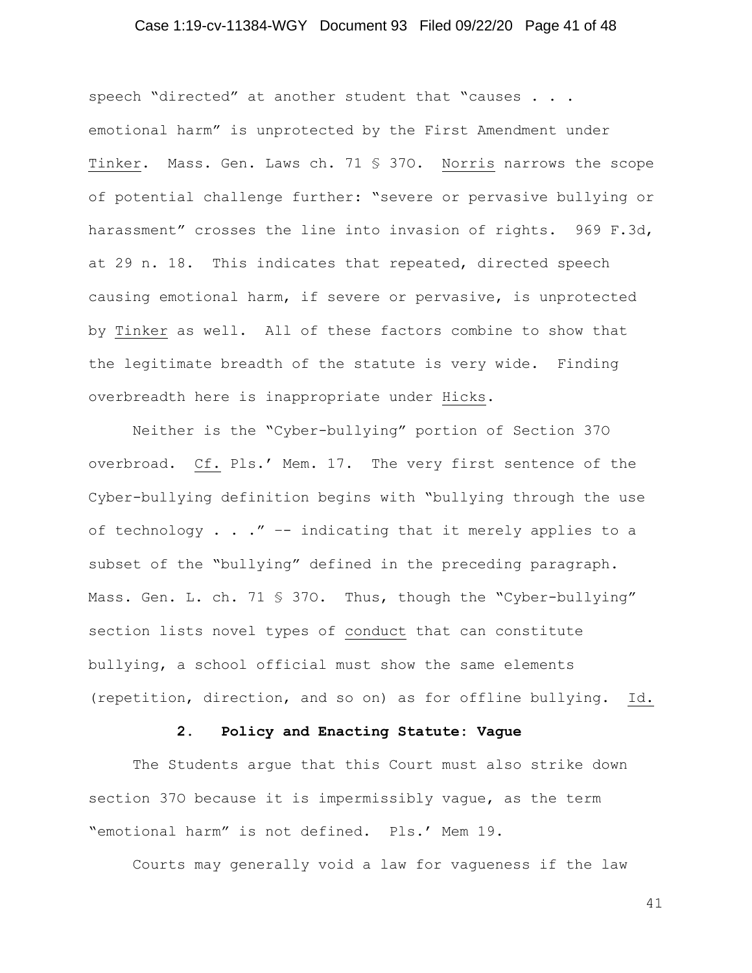## Case 1:19-cv-11384-WGY Document 93 Filed 09/22/20 Page 41 of 48

speech "directed" at another student that "causes . . . emotional harm" is unprotected by the First Amendment under Tinker. Mass. Gen. Laws ch. 71 § 37O. Norris narrows the scope of potential challenge further: "severe or pervasive bullying or harassment" crosses the line into invasion of rights. 969 F.3d, at 29 n. 18. This indicates that repeated, directed speech causing emotional harm, if severe or pervasive, is unprotected by Tinker as well. All of these factors combine to show that the legitimate breadth of the statute is very wide. Finding overbreadth here is inappropriate under Hicks.

Neither is the "Cyber-bullying" portion of Section 37O overbroad. Cf. Pls.' Mem. 17. The very first sentence of the Cyber-bullying definition begins with "bullying through the use of technology . . ." -- indicating that it merely applies to a subset of the "bullying" defined in the preceding paragraph. Mass. Gen. L. ch. 71 § 370. Thus, though the "Cyber-bullying" section lists novel types of conduct that can constitute bullying, a school official must show the same elements (repetition, direction, and so on) as for offline bullying. Id.

#### **2. Policy and Enacting Statute: Vague**

The Students argue that this Court must also strike down section 37O because it is impermissibly vague, as the term "emotional harm" is not defined. Pls.' Mem 19.

Courts may generally void a law for vagueness if the law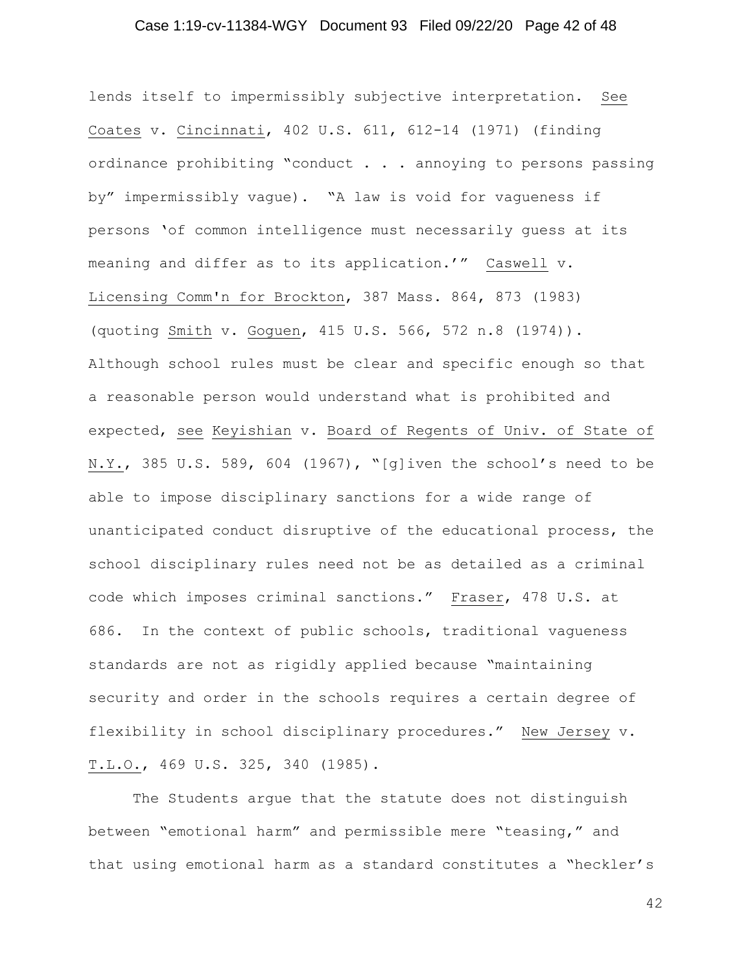## Case 1:19-cv-11384-WGY Document 93 Filed 09/22/20 Page 42 of 48

lends itself to impermissibly subjective interpretation. See Coates v. Cincinnati, 402 U.S. 611, 612-14 (1971) (finding ordinance prohibiting "conduct . . . annoying to persons passing by" impermissibly vague). "A law is void for vagueness if persons 'of common intelligence must necessarily guess at its meaning and differ as to its application.'" Caswell v. Licensing Comm'n for Brockton, 387 Mass. 864, 873 (1983) (quoting Smith v. Goguen, 415 U.S. 566, 572 n.8 (1974)). Although school rules must be clear and specific enough so that a reasonable person would understand what is prohibited and expected, see Keyishian v. Board of Regents of Univ. of State of N.Y., 385 U.S. 589, 604 (1967), "[g]iven the school's need to be able to impose disciplinary sanctions for a wide range of unanticipated conduct disruptive of the educational process, the school disciplinary rules need not be as detailed as a criminal code which imposes criminal sanctions." Fraser, 478 U.S. at 686. In the context of public schools, traditional vagueness standards are not as rigidly applied because "maintaining security and order in the schools requires a certain degree of flexibility in school disciplinary procedures." New Jersey v. T.L.O., 469 U.S. 325, 340 (1985).

The Students argue that the statute does not distinguish between "emotional harm" and permissible mere "teasing," and that using emotional harm as a standard constitutes a "heckler's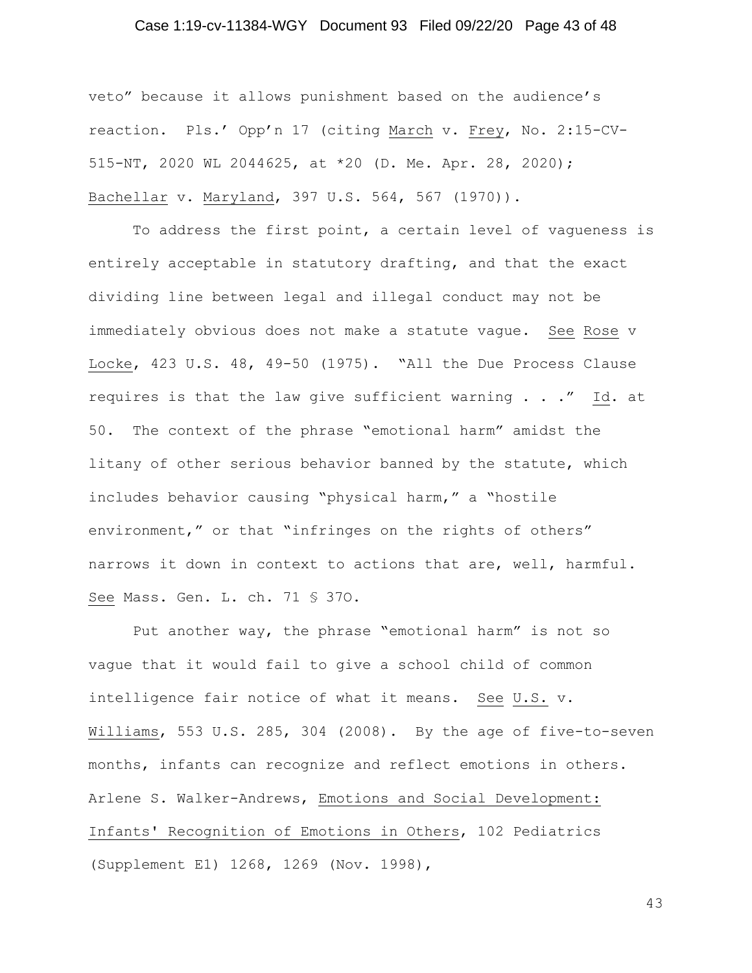## Case 1:19-cv-11384-WGY Document 93 Filed 09/22/20 Page 43 of 48

veto" because it allows punishment based on the audience's reaction. Pls.' Opp'n 17 (citing March v. Frey, No. 2:15-CV-515-NT, 2020 WL 2044625, at \*20 (D. Me. Apr. 28, 2020); Bachellar v. Maryland, 397 U.S. 564, 567 (1970)).

To address the first point, a certain level of vagueness is entirely acceptable in statutory drafting, and that the exact dividing line between legal and illegal conduct may not be immediately obvious does not make a statute vague. See Rose v Locke, 423 U.S. 48, 49-50 (1975). "All the Due Process Clause requires is that the law give sufficient warning . . ." Id. at 50. The context of the phrase "emotional harm" amidst the litany of other serious behavior banned by the statute, which includes behavior causing "physical harm," a "hostile environment," or that "infringes on the rights of others" narrows it down in context to actions that are, well, harmful. See Mass. Gen. L. ch. 71 § 37O.

Put another way, the phrase "emotional harm" is not so vague that it would fail to give a school child of common intelligence fair notice of what it means. See U.S. v. Williams, 553 U.S. 285, 304 (2008). By the age of five-to-seven months, infants can recognize and reflect emotions in others. Arlene S. Walker-Andrews, Emotions and Social Development: Infants' Recognition of Emotions in Others, 102 Pediatrics (Supplement E1) 1268, 1269 (Nov. 1998),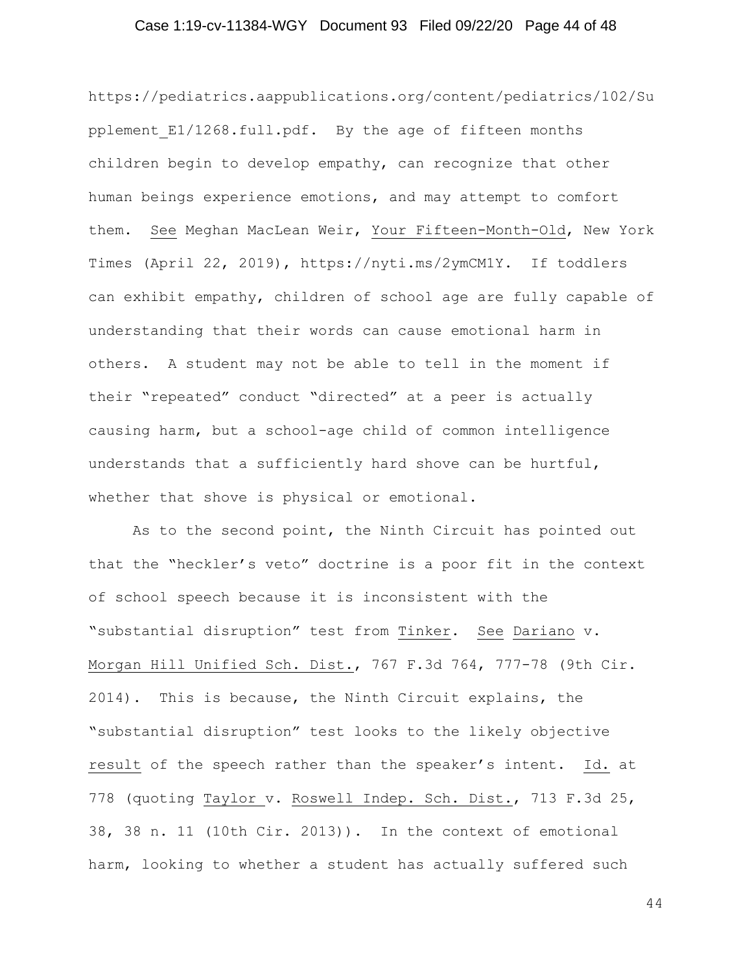## Case 1:19-cv-11384-WGY Document 93 Filed 09/22/20 Page 44 of 48

https://pediatrics.aappublications.org/content/pediatrics/102/Su pplement E1/1268.full.pdf. By the age of fifteen months children begin to develop empathy, can recognize that other human beings experience emotions, and may attempt to comfort them. See Meghan MacLean Weir, Your Fifteen-Month-Old, New York Times (April 22, 2019), https://nyti.ms/2ymCM1Y. If toddlers can exhibit empathy, children of school age are fully capable of understanding that their words can cause emotional harm in others. A student may not be able to tell in the moment if their "repeated" conduct "directed" at a peer is actually causing harm, but a school-age child of common intelligence understands that a sufficiently hard shove can be hurtful, whether that shove is physical or emotional.

As to the second point, the Ninth Circuit has pointed out that the "heckler's veto" doctrine is a poor fit in the context of school speech because it is inconsistent with the "substantial disruption" test from Tinker. See Dariano v. Morgan Hill Unified Sch. Dist., 767 F.3d 764, 777-78 (9th Cir. 2014). This is because, the Ninth Circuit explains, the "substantial disruption" test looks to the likely objective result of the speech rather than the speaker's intent. Id. at 778 (quoting Taylor v. Roswell Indep. Sch. Dist., 713 F.3d 25, 38, 38 n. 11 (10th Cir. 2013)). In the context of emotional harm, looking to whether a student has actually suffered such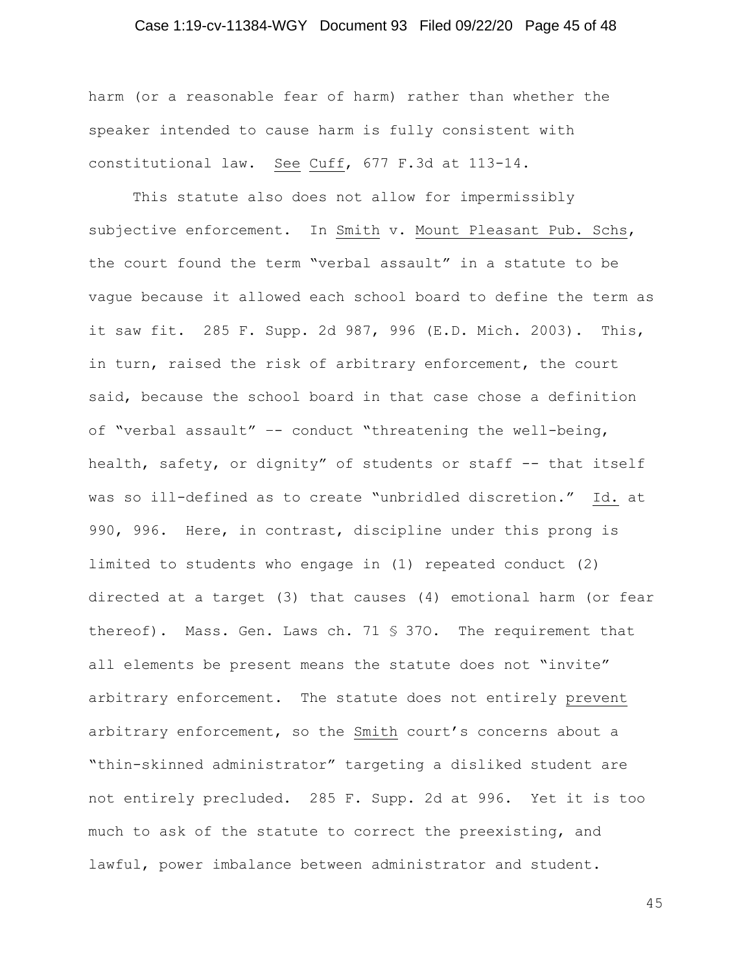## Case 1:19-cv-11384-WGY Document 93 Filed 09/22/20 Page 45 of 48

harm (or a reasonable fear of harm) rather than whether the speaker intended to cause harm is fully consistent with constitutional law. See Cuff, 677 F.3d at 113-14.

This statute also does not allow for impermissibly subjective enforcement. In Smith v. Mount Pleasant Pub. Schs, the court found the term "verbal assault" in a statute to be vague because it allowed each school board to define the term as it saw fit. 285 F. Supp. 2d 987, 996 (E.D. Mich. 2003). This, in turn, raised the risk of arbitrary enforcement, the court said, because the school board in that case chose a definition of "verbal assault" –- conduct "threatening the well-being, health, safety, or dignity" of students or staff -- that itself was so ill-defined as to create "unbridled discretion." Id. at 990, 996. Here, in contrast, discipline under this prong is limited to students who engage in (1) repeated conduct (2) directed at a target (3) that causes (4) emotional harm (or fear thereof). Mass. Gen. Laws ch. 71 § 37O. The requirement that all elements be present means the statute does not "invite" arbitrary enforcement. The statute does not entirely prevent arbitrary enforcement, so the Smith court's concerns about a "thin-skinned administrator" targeting a disliked student are not entirely precluded. 285 F. Supp. 2d at 996. Yet it is too much to ask of the statute to correct the preexisting, and lawful, power imbalance between administrator and student.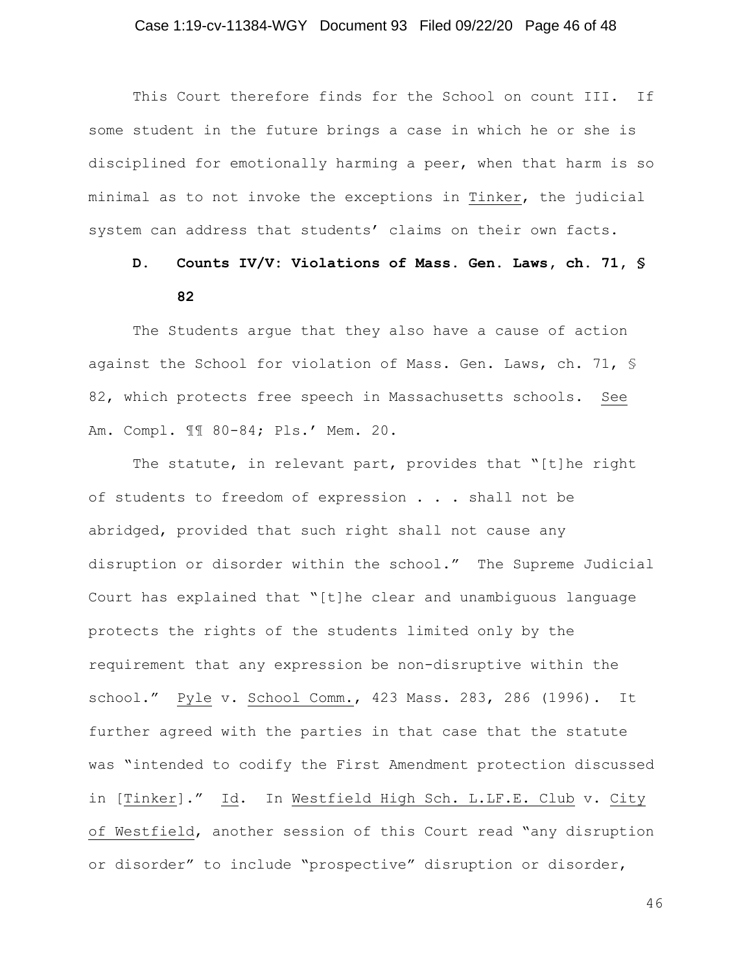## Case 1:19-cv-11384-WGY Document 93 Filed 09/22/20 Page 46 of 48

This Court therefore finds for the School on count III. If some student in the future brings a case in which he or she is disciplined for emotionally harming a peer, when that harm is so minimal as to not invoke the exceptions in Tinker, the judicial system can address that students' claims on their own facts.

## **D. Counts IV/V: Violations of Mass. Gen. Laws, ch. 71, § 82**

The Students argue that they also have a cause of action against the School for violation of Mass. Gen. Laws, ch. 71, § 82, which protects free speech in Massachusetts schools. See Am. Compl. ¶¶ 80-84; Pls.' Mem. 20.

The statute, in relevant part, provides that "[t]he right of students to freedom of expression . . . shall not be abridged, provided that such right shall not cause any disruption or disorder within the school." The Supreme Judicial Court has explained that "[t]he clear and unambiguous language protects the rights of the students limited only by the requirement that any expression be non-disruptive within the school." Pyle v. School Comm., 423 Mass. 283, 286 (1996). It further agreed with the parties in that case that the statute was "intended to codify the First Amendment protection discussed in [Tinker]." Id. In Westfield High Sch. L.LF.E. Club v. City of Westfield, another session of this Court read "any disruption or disorder" to include "prospective" disruption or disorder,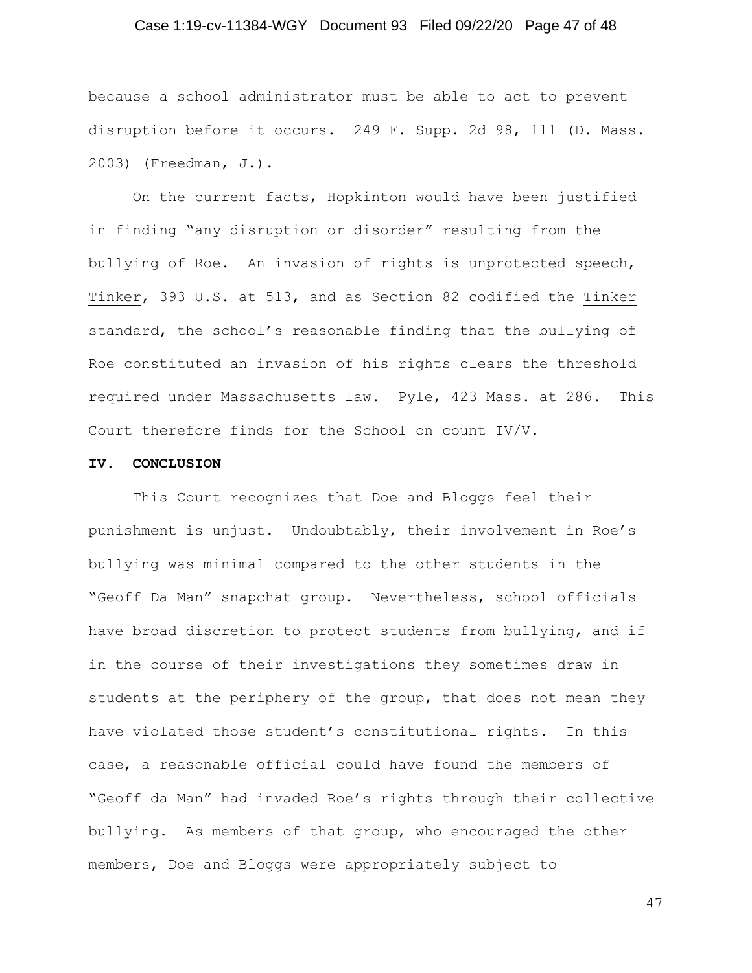## Case 1:19-cv-11384-WGY Document 93 Filed 09/22/20 Page 47 of 48

because a school administrator must be able to act to prevent disruption before it occurs. 249 F. Supp. 2d 98, 111 (D. Mass. 2003) (Freedman, J.).

On the current facts, Hopkinton would have been justified in finding "any disruption or disorder" resulting from the bullying of Roe. An invasion of rights is unprotected speech, Tinker, 393 U.S. at 513, and as Section 82 codified the Tinker standard, the school's reasonable finding that the bullying of Roe constituted an invasion of his rights clears the threshold required under Massachusetts law. Pyle, 423 Mass. at 286. This Court therefore finds for the School on count IV/V.

#### **IV. CONCLUSION**

This Court recognizes that Doe and Bloggs feel their punishment is unjust. Undoubtably, their involvement in Roe's bullying was minimal compared to the other students in the "Geoff Da Man" snapchat group. Nevertheless, school officials have broad discretion to protect students from bullying, and if in the course of their investigations they sometimes draw in students at the periphery of the group, that does not mean they have violated those student's constitutional rights. In this case, a reasonable official could have found the members of "Geoff da Man" had invaded Roe's rights through their collective bullying. As members of that group, who encouraged the other members, Doe and Bloggs were appropriately subject to